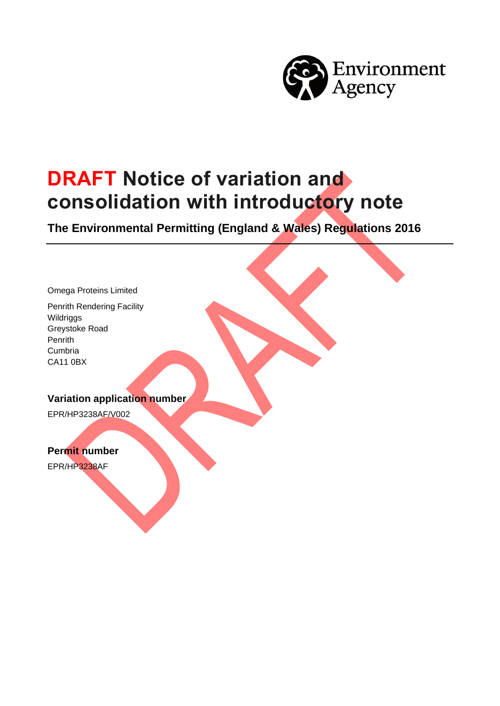

# **DRAFT Notice of variation and consolidation with introductory note**

**The Environmental Permitting (England & Wales) Regulations 2016**

Omega Proteins Limited

Penrith Rendering Facility **Wildriggs** Greystoke Road Penrith Cumbria CA11 0BX

**Variation application number**

EPR/HP3238AF/V002

**Permit number**

EPR/HP3238AF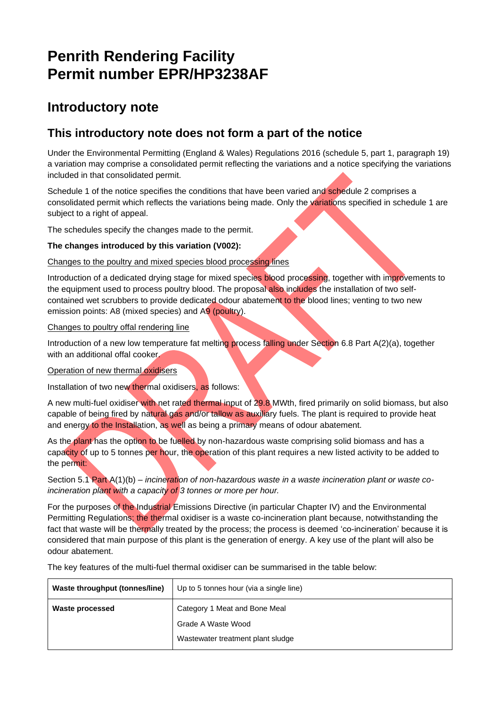## **Penrith Rendering Facility Permit number EPR/HP3238AF**

### **Introductory note**

### **This introductory note does not form a part of the notice**

Under the Environmental Permitting (England & Wales) Regulations 2016 (schedule 5, part 1, paragraph 19) a variation may comprise a consolidated permit reflecting the variations and a notice specifying the variations included in that consolidated permit.

Schedule 1 of the notice specifies the conditions that have been varied and schedule 2 comprises a consolidated permit which reflects the variations being made. Only the variations specified in schedule 1 are subject to a right of appeal.

The schedules specify the changes made to the permit.

#### **The changes introduced by this variation (V002):**

#### Changes to the poultry and mixed species blood processing lines

Introduction of a dedicated drying stage for mixed species blood processing, together with improvements to the equipment used to process poultry blood. The proposal also includes the installation of two selfcontained wet scrubbers to provide dedicated odour abatement to the blood lines; venting to two new emission points: A8 (mixed species) and A9 (poultry).

#### Changes to poultry offal rendering line

Introduction of a new low temperature fat melting process falling under Section 6.8 Part A(2)(a), together with an additional offal cooker.

#### Operation of new thermal oxidisers

Installation of two new thermal oxidisers, as follows:

A new multi-fuel oxidiser with net rated thermal input of 29.8 MWth, fired primarily on solid biomass, but also capable of being fired by natural gas and/or tallow as auxiliary fuels. The plant is required to provide heat and energy to the Installation, as well as being a primary means of odour abatement.

As the plant has the option to be fuelled by non-hazardous waste comprising solid biomass and has a capacity of up to 5 tonnes per hour, the operation of this plant requires a new listed activity to be added to the permit:

Section 5.1 Part A(1)(b) – *incineration of non-hazardous waste in a waste incineration plant or waste coincineration plant with a capacity of 3 tonnes or more per hour.*

For the purposes of the Industrial Emissions Directive (in particular Chapter IV) and the Environmental Permitting Regulations; the thermal oxidiser is a waste co-incineration plant because, notwithstanding the fact that waste will be thermally treated by the process; the process is deemed 'co-incineration' because it is considered that main purpose of this plant is the generation of energy. A key use of the plant will also be odour abatement.

The key features of the multi-fuel thermal oxidiser can be summarised in the table below:

| Up to 5 tonnes hour (via a single line) |
|-----------------------------------------|
| Category 1 Meat and Bone Meal           |
| Grade A Waste Wood                      |
| Wastewater treatment plant sludge       |
|                                         |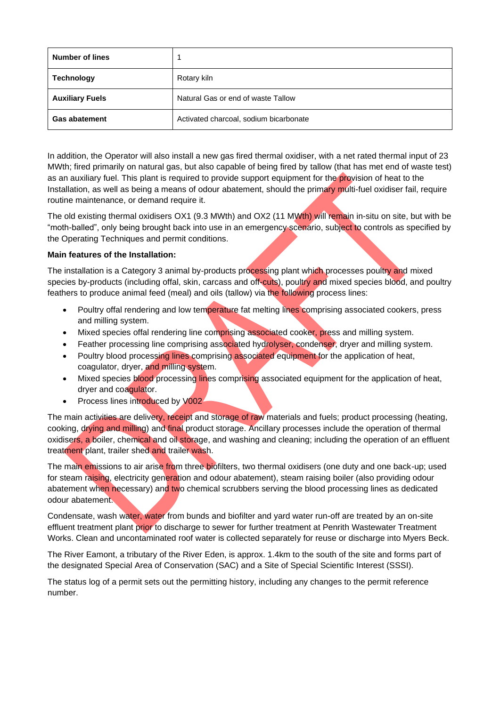| <b>Number of lines</b> |                                        |
|------------------------|----------------------------------------|
| <b>Technology</b>      | Rotary kiln                            |
| <b>Auxiliary Fuels</b> | Natural Gas or end of waste Tallow     |
| <b>Gas abatement</b>   | Activated charcoal, sodium bicarbonate |

In addition, the Operator will also install a new gas fired thermal oxidiser, with a net rated thermal input of 23 MWth; fired primarily on natural gas, but also capable of being fired by tallow (that has met end of waste test) as an auxiliary fuel. This plant is required to provide support equipment for the provision of heat to the Installation, as well as being a means of odour abatement, should the primary multi-fuel oxidiser fail, require routine maintenance, or demand require it.

The old existing thermal oxidisers OX1 (9.3 MWth) and OX2 (11 MWth) will remain in-situ on site, but with be "moth-balled", only being brought back into use in an emergency scenario, subject to controls as specified by the Operating Techniques and permit conditions.

#### **Main features of the Installation:**

The installation is a Category 3 animal by-products processing plant which processes poultry and mixed species by-products (including offal, skin, carcass and off-cuts), poultry and mixed species blood, and poultry feathers to produce animal feed (meal) and oils (tallow) via the following process lines:

- Poultry offal rendering and low temperature fat melting lines comprising associated cookers, press and milling system.
- Mixed species offal rendering line comprising associated cooker, press and milling system.
- Feather processing line comprising associated hydrolyser, condenser, dryer and milling system.
- Poultry blood processing lines comprising associated equipment for the application of heat, coagulator, dryer, and milling system.
- Mixed species blood processing lines comprising associated equipment for the application of heat, dryer and coagulator.
- Process lines introduced by V002

The main activities are delivery, receipt and storage of raw materials and fuels; product processing (heating, cooking, drying and milling) and final product storage. Ancillary processes include the operation of thermal oxidisers, a boiler, chemical and oil storage, and washing and cleaning; including the operation of an effluent treatment plant, trailer shed and trailer wash.

The main emissions to air arise from three biofilters, two thermal oxidisers (one duty and one back-up; used for steam raising, electricity generation and odour abatement), steam raising boiler (also providing odour abatement when necessary) and two chemical scrubbers serving the blood processing lines as dedicated odour abatement.

Condensate, wash water, water from bunds and biofilter and yard water run-off are treated by an on-site effluent treatment plant prior to discharge to sewer for further treatment at Penrith Wastewater Treatment Works. Clean and uncontaminated roof water is collected separately for reuse or discharge into Myers Beck.

The River Eamont, a tributary of the River Eden, is approx. 1.4km to the south of the site and forms part of the designated Special Area of Conservation (SAC) and a Site of Special Scientific Interest (SSSI).

The status log of a permit sets out the permitting history, including any changes to the permit reference number.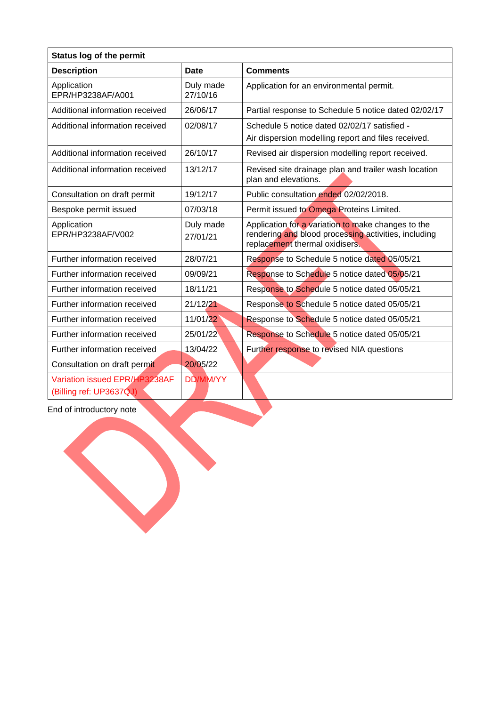| <b>Status log of the permit</b>                          |                       |                                                                                                                                              |  |  |  |
|----------------------------------------------------------|-----------------------|----------------------------------------------------------------------------------------------------------------------------------------------|--|--|--|
| <b>Description</b>                                       | Date                  | <b>Comments</b>                                                                                                                              |  |  |  |
| Application<br>EPR/HP3238AF/A001                         | Duly made<br>27/10/16 | Application for an environmental permit.                                                                                                     |  |  |  |
| Additional information received                          | 26/06/17              | Partial response to Schedule 5 notice dated 02/02/17                                                                                         |  |  |  |
| Additional information received                          | 02/08/17              | Schedule 5 notice dated 02/02/17 satisfied -<br>Air dispersion modelling report and files received.                                          |  |  |  |
| Additional information received                          | 26/10/17              | Revised air dispersion modelling report received.                                                                                            |  |  |  |
| Additional information received                          | 13/12/17              | Revised site drainage plan and trailer wash location<br>plan and elevations.                                                                 |  |  |  |
| Consultation on draft permit                             | 19/12/17              | Public consultation ended 02/02/2018.                                                                                                        |  |  |  |
| Bespoke permit issued                                    | 07/03/18              | Permit issued to Omega Proteins Limited.                                                                                                     |  |  |  |
| Application<br>EPR/HP3238AF/V002                         | Duly made<br>27/01/21 | Application for a variation to make changes to the<br>rendering and blood processing activities, including<br>replacement thermal oxidisers. |  |  |  |
| Further information received                             | 28/07/21              | Response to Schedule 5 notice dated 05/05/21                                                                                                 |  |  |  |
| Further information received                             | 09/09/21              | Response to Schedule 5 notice dated 05/05/21                                                                                                 |  |  |  |
| Further information received                             | 18/11/21              | Response to Schedule 5 notice dated 05/05/21                                                                                                 |  |  |  |
| Further information received                             | 21/12/21              | Response to Schedule 5 notice dated 05/05/21                                                                                                 |  |  |  |
| Further information received                             | 11/01/22              | Response to Schedule 5 notice dated 05/05/21                                                                                                 |  |  |  |
| Further information received                             | 25/01/22              | Response to Schedule 5 notice dated 05/05/21                                                                                                 |  |  |  |
| Further information received                             | 13/04/22              | Further response to revised NIA questions                                                                                                    |  |  |  |
| Consultation on draft permit                             | 20/05/22              |                                                                                                                                              |  |  |  |
| Variation issued EPR/HP3238AF<br>(Billing ref: UP3637QJ) | <b>DD/MM/YY</b>       |                                                                                                                                              |  |  |  |

End of introductory note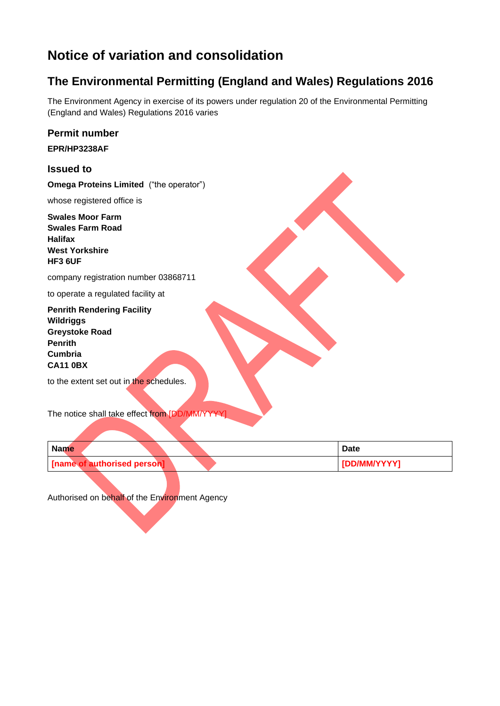### **Notice of variation and consolidation**

### **The Environmental Permitting (England and Wales) Regulations 2016**

The Environment Agency in exercise of its powers under regulation 20 of the Environmental Permitting (England and Wales) Regulations 2016 varies

| <b>Permit number</b>                                                                                                                                                             |
|----------------------------------------------------------------------------------------------------------------------------------------------------------------------------------|
| EPR/HP3238AF                                                                                                                                                                     |
| <b>Issued to</b>                                                                                                                                                                 |
| <b>Omega Proteins Limited</b> ("the operator")                                                                                                                                   |
| whose registered office is                                                                                                                                                       |
| <b>Swales Moor Farm</b><br><b>Swales Farm Road</b><br><b>Halifax</b><br><b>West Yorkshire</b><br><b>HF3 6UF</b>                                                                  |
| company registration number 03868711                                                                                                                                             |
| to operate a regulated facility at                                                                                                                                               |
| <b>Penrith Rendering Facility</b><br><b>Wildriggs</b><br><b>Greystoke Road</b><br><b>Penrith</b><br><b>Cumbria</b><br><b>CA11 0BX</b><br>to the extent set out in the schedules. |
|                                                                                                                                                                                  |
| The notice shall take effect from [DD/MM/YYYY]                                                                                                                                   |

| <b>Name</b> |                             |  |  | Date         |
|-------------|-----------------------------|--|--|--------------|
|             | [name of authorised person] |  |  | [DD/MM/YYYY] |

Authorised on behalf of the Environment Agency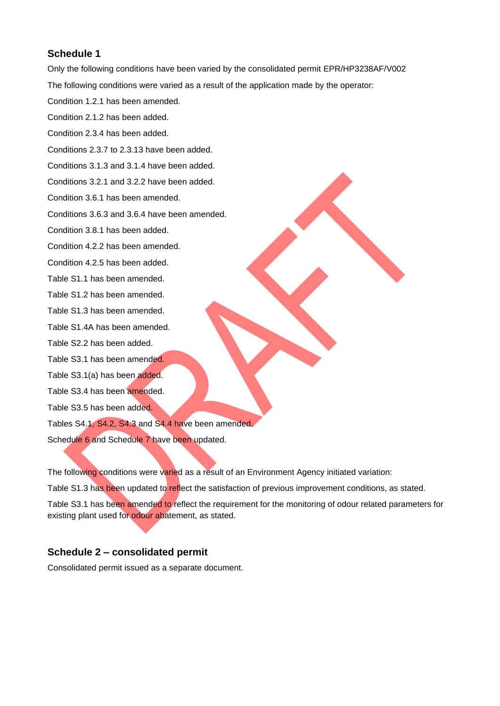**Schedule 1** Only the following conditions have been varied by the consolidated permit EPR/HP3238AF/V002 The following conditions were varied as a result of the application made by the operator: Condition 1.2.1 has been amended. Condition 2.1.2 has been added. Condition 2.3.4 has been added. Conditions 2.3.7 to 2.3.13 have been added. Conditions 3.1.3 and 3.1.4 have been added. Conditions 3.2.1 and 3.2.2 have been added. Condition 3.6.1 has been amended. Conditions 3.6.3 and 3.6.4 have been amended. Condition 3.8.1 has been added. Condition 4.2.2 has been amended. Condition 4.2.5 has been added. Table S1.1 has been amended. Table S1.2 has been amended. Table S1.3 has been amended. Table S1.4A has been amended.

Table S2.2 has been added.

Table S3.1 has been amended.

Table S3.1(a) has been added.

Table S3.4 has been amended.

Table S3.5 has been added.

Tables S4.1, S4.2, S4.3 and S4.4 have been amended.

Schedule 6 and Schedule 7 have been updated.

The following conditions were varied as a result of an Environment Agency initiated variation: Table S1.3 has been updated to reflect the satisfaction of previous improvement conditions, as stated. Table S3.1 has been amended to reflect the requirement for the monitoring of odour related parameters for existing plant used for odour abatement, as stated.

#### **Schedule 2 – consolidated permit**

Consolidated permit issued as a separate document.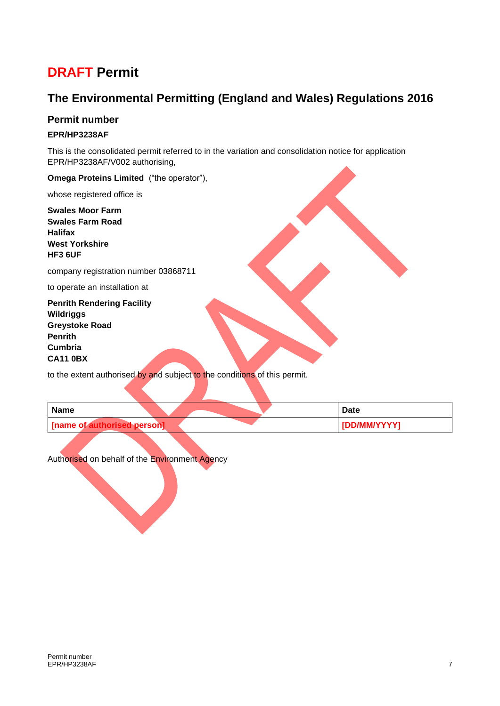### **DRAFT Permit**

### **The Environmental Permitting (England and Wales) Regulations 2016**

#### **Permit number**

#### **EPR/HP3238AF**

This is the consolidated permit referred to in the variation and consolidation notice for application EPR/HP3238AF/V002 authorising,

**Omega Proteins Limited** ("the operator"),

whose registered office is

**Swales Moor Farm Swales Farm Road Halifax West Yorkshire HF3 6UF**

company registration number 03868711

to operate an installation at

**Penrith Rendering Facility Wildriggs Greystoke Road Penrith Cumbria CA11 0BX**

to the extent authorised by and subject to the conditions of this permit.

| <b>Name</b>                 |  | <b>Date</b>  |
|-----------------------------|--|--------------|
| [name of authorised person] |  | [DD/MM/YYYY] |

Authorised on behalf of the Environment Agency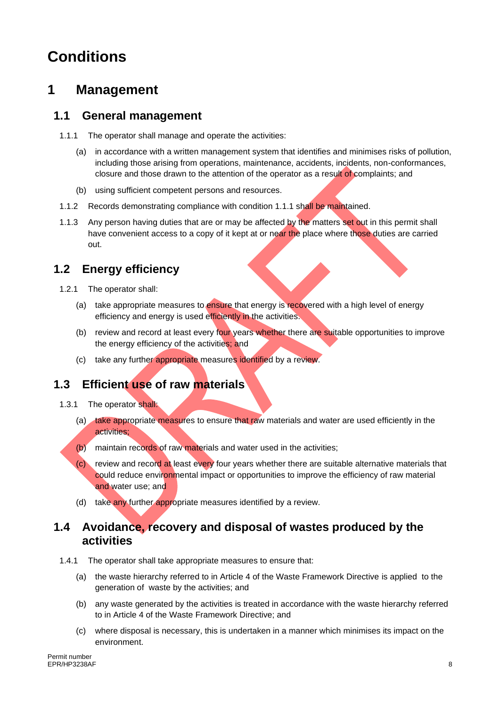# **Conditions**

### **1 Management**

### **1.1 General management**

- 1.1.1 The operator shall manage and operate the activities:
	- (a) in accordance with a written management system that identifies and minimises risks of pollution, including those arising from operations, maintenance, accidents, incidents, non-conformances, closure and those drawn to the attention of the operator as a result of complaints; and
	- (b) using sufficient competent persons and resources.
- 1.1.2 Records demonstrating compliance with condition 1.1.1 shall be maintained.
- 1.1.3 Any person having duties that are or may be affected by the matters set out in this permit shall have convenient access to a copy of it kept at or near the place where those duties are carried out.

### **1.2 Energy efficiency**

- 1.2.1 The operator shall:
	- (a) take appropriate measures to ensure that energy is recovered with a high level of energy efficiency and energy is used efficiently in the activities.
	- (b) review and record at least every four years whether there are suitable opportunities to improve the energy efficiency of the activities; and
	- (c) take any further appropriate measures identified by a review.

### **1.3 Efficient use of raw materials**

- 1.3.1 The operator shall:
	- (a) take appropriate measures to ensure that raw materials and water are used efficiently in the activities;
	- (b) maintain records of raw materials and water used in the activities;
	- (c) review and record at least every four years whether there are suitable alternative materials that could reduce environmental impact or opportunities to improve the efficiency of raw material and water use; and
	- (d) take any further appropriate measures identified by a review.

#### **1.4 Avoidance, recovery and disposal of wastes produced by the activities**

- 1.4.1 The operator shall take appropriate measures to ensure that:
	- (a) the waste hierarchy referred to in Article 4 of the Waste Framework Directive is applied to the generation of waste by the activities; and
	- (b) any waste generated by the activities is treated in accordance with the waste hierarchy referred to in Article 4 of the Waste Framework Directive; and
	- (c) where disposal is necessary, this is undertaken in a manner which minimises its impact on the environment.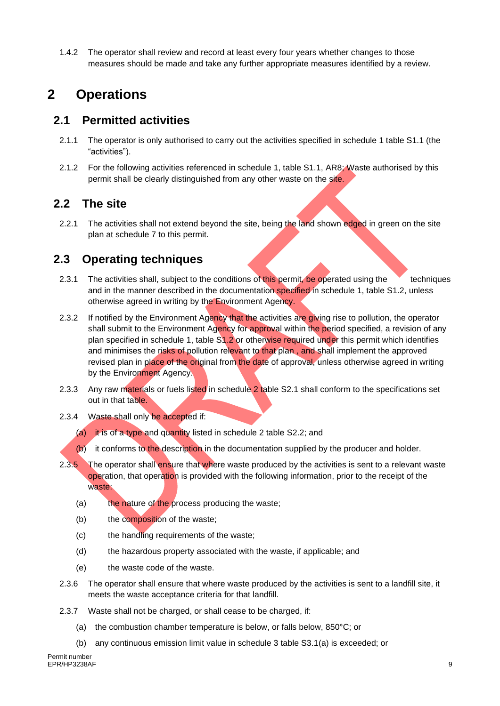1.4.2 The operator shall review and record at least every four years whether changes to those measures should be made and take any further appropriate measures identified by a review.

### **2 Operations**

### **2.1 Permitted activities**

- 2.1.1 The operator is only authorised to carry out the activities specified in schedule 1 table S1.1 (the "activities").
- 2.1.2 For the following activities referenced in schedule 1, table S1.1, AR8; Waste authorised by this permit shall be clearly distinguished from any other waste on the site.

### **2.2 The site**

2.2.1 The activities shall not extend beyond the site, being the land shown edged in green on the site plan at schedule 7 to this permit.

### **2.3 Operating techniques**

- 2.3.1 The activities shall, subject to the conditions of this permit, be operated using the techniques and in the manner described in the documentation specified in schedule 1, table S1.2, unless otherwise agreed in writing by the Environment Agency.
- 2.3.2 If notified by the Environment Agency that the activities are giving rise to pollution, the operator shall submit to the Environment Agency for approval within the period specified, a revision of any plan specified in schedule 1, table S1.2 or otherwise required under this permit which identifies and minimises the risks of pollution relevant to that plan, and shall implement the approved revised plan in place of the original from the date of approval, unless otherwise agreed in writing by the Environment Agency.
- 2.3.3 Any raw materials or fuels listed in schedule 2 table S2.1 shall conform to the specifications set out in that table.
- 2.3.4 Waste shall only be accepted if:
	- (a) it is of a type and quantity listed in schedule 2 table S2.2; and
	- (b) it conforms to the description in the documentation supplied by the producer and holder.
- 2.3.5 The operator shall ensure that where waste produced by the activities is sent to a relevant waste operation, that operation is provided with the following information, prior to the receipt of the waste:
	- (a) the nature of the process producing the waste;
	- (b) the composition of the waste;
	- (c) the handling requirements of the waste;
	- (d) the hazardous property associated with the waste, if applicable; and
	- (e) the waste code of the waste.
- 2.3.6 The operator shall ensure that where waste produced by the activities is sent to a landfill site, it meets the waste acceptance criteria for that landfill.
- 2.3.7 Waste shall not be charged, or shall cease to be charged, if:
	- (a) the combustion chamber temperature is below, or falls below, 850°C; or
	- (b) any continuous emission limit value in schedule 3 table S3.1(a) is exceeded; or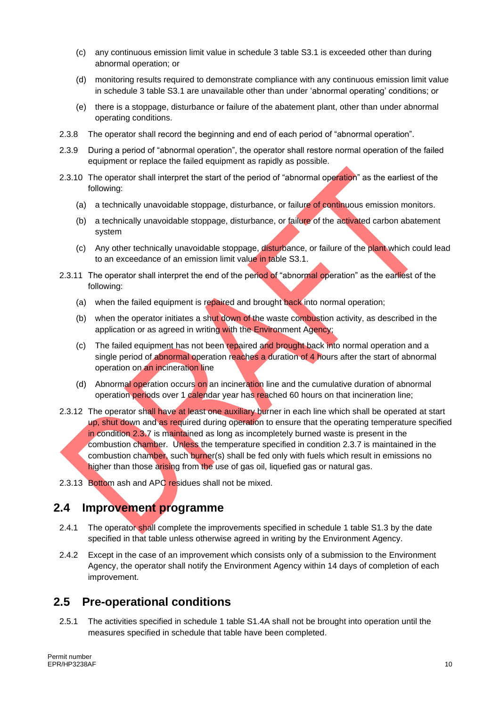- (c) any continuous emission limit value in schedule 3 table S3.1 is exceeded other than during abnormal operation; or
- (d) monitoring results required to demonstrate compliance with any continuous emission limit value in schedule 3 table S3.1 are unavailable other than under 'abnormal operating' conditions; or
- (e) there is a stoppage, disturbance or failure of the abatement plant, other than under abnormal operating conditions.
- 2.3.8 The operator shall record the beginning and end of each period of "abnormal operation".
- 2.3.9 During a period of "abnormal operation", the operator shall restore normal operation of the failed equipment or replace the failed equipment as rapidly as possible.
- 2.3.10 The operator shall interpret the start of the period of "abnormal operation" as the earliest of the following:
	- (a) a technically unavoidable stoppage, disturbance, or failure of continuous emission monitors.
	- (b) a technically unavoidable stoppage, disturbance, or failure of the activated carbon abatement system
	- (c) Any other technically unavoidable stoppage, disturbance, or failure of the plant which could lead to an exceedance of an emission limit value in table S3.1.
- 2.3.11 The operator shall interpret the end of the period of "abnormal operation" as the earliest of the following:
	- (a) when the failed equipment is repaired and brought back into normal operation;
	- (b) when the operator initiates a shut down of the waste combustion activity, as described in the application or as agreed in writing with the Environment Agency;
	- (c) The failed equipment has not been repaired and brought back into normal operation and a single period of abnormal operation reaches a duration of 4 hours after the start of abnormal operation on an incineration line
	- (d) Abnormal operation occurs on an incineration line and the cumulative duration of abnormal operation periods over 1 calendar year has reached 60 hours on that incineration line;
- 2.3.12 The operator shall have at least one auxiliary burner in each line which shall be operated at start up, shut down and as required during operation to ensure that the operating temperature specified in condition 2.3.7 is maintained as long as incompletely burned waste is present in the combustion chamber. Unless the temperature specified in condition 2.3.7 is maintained in the combustion chamber, such burner(s) shall be fed only with fuels which result in emissions no higher than those arising from the use of gas oil, liquefied gas or natural gas.
- 2.3.13 Bottom ash and APC residues shall not be mixed.

### **2.4 Improvement programme**

- 2.4.1 The operator shall complete the improvements specified in schedule 1 table S1.3 by the date specified in that table unless otherwise agreed in writing by the Environment Agency.
- 2.4.2 Except in the case of an improvement which consists only of a submission to the Environment Agency, the operator shall notify the Environment Agency within 14 days of completion of each improvement.

### **2.5 Pre-operational conditions**

2.5.1 The activities specified in schedule 1 table S1.4A shall not be brought into operation until the measures specified in schedule that table have been completed.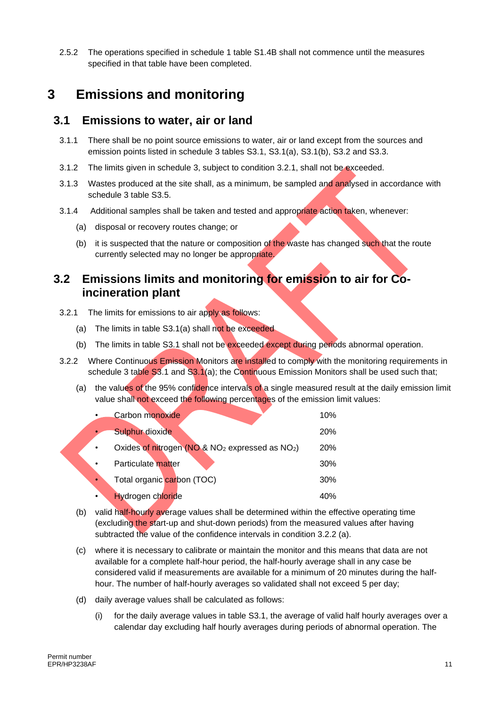2.5.2 The operations specified in schedule 1 table S1.4B shall not commence until the measures specified in that table have been completed.

### **3 Emissions and monitoring**

#### **3.1 Emissions to water, air or land**

- 3.1.1 There shall be no point source emissions to water, air or land except from the sources and emission points listed in schedule 3 tables S3.1, S3.1(a), S3.1(b), S3.2 and S3.3.
- 3.1.2 The limits given in schedule 3, subject to condition 3.2.1, shall not be exceeded.
- 3.1.3 Wastes produced at the site shall, as a minimum, be sampled and analysed in accordance with schedule 3 table S3.5.
- 3.1.4 Additional samples shall be taken and tested and appropriate action taken, whenever:
	- (a) disposal or recovery routes change; or
	- (b) it is suspected that the nature or composition of the waste has changed such that the route currently selected may no longer be appropriate.

#### **3.2 Emissions limits and monitoring for emission to air for Coincineration plant**

- 3.2.1 The limits for emissions to air apply as follows:
	- (a) The limits in table S3.1(a) shall not be exceeded
	- (b) The limits in table S3.1 shall not be exceeded except during periods abnormal operation.
- 3.2.2 Where Continuous Emission Monitors are installed to comply with the monitoring requirements in schedule 3 table  $S3.1$  and  $S3.1$ (a); the Continuous Emission Monitors shall be used such that;
	- (a) the values of the 95% confidence intervals of a single measured result at the daily emission limit value shall not exceed the following percentages of the emission limit values:

| Carbon monoxide                                        | 10%        |
|--------------------------------------------------------|------------|
| Sulphur dioxide                                        | <b>20%</b> |
| Oxides of nitrogen ( $NO$ & $NO2$ expressed as $NO2$ ) | <b>20%</b> |
| Particulate matter                                     | 30%        |
| Total organic carbon (TOC)<br>$\bullet$                | 30%        |
| Hydrogen chloride                                      | 40%        |

- (b) valid half-hourly average values shall be determined within the effective operating time (excluding the start-up and shut-down periods) from the measured values after having subtracted the value of the confidence intervals in condition 3.2.2 (a).
- (c) where it is necessary to calibrate or maintain the monitor and this means that data are not available for a complete half-hour period, the half-hourly average shall in any case be considered valid if measurements are available for a minimum of 20 minutes during the halfhour. The number of half-hourly averages so validated shall not exceed 5 per day;
- (d) daily average values shall be calculated as follows:
	- (i) for the daily average values in table S3.1, the average of valid half hourly averages over a calendar day excluding half hourly averages during periods of abnormal operation. The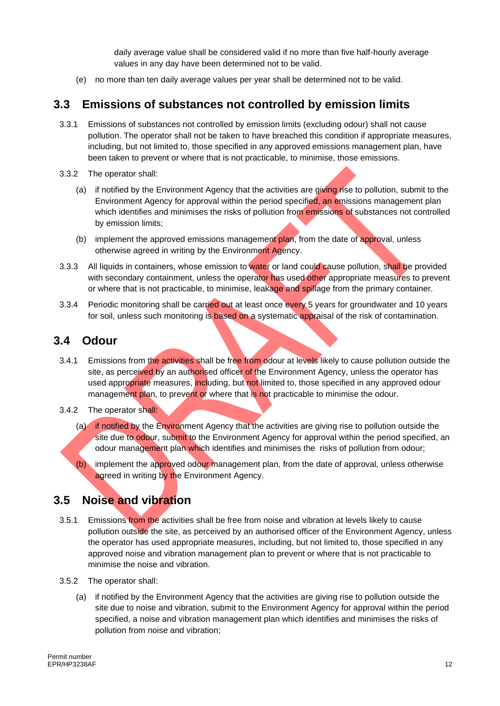daily average value shall be considered valid if no more than five half-hourly average values in any day have been determined not to be valid.

(e) no more than ten daily average values per year shall be determined not to be valid.

#### **3.3 Emissions of substances not controlled by emission limits**

- 3.3.1 Emissions of substances not controlled by emission limits (excluding odour) shall not cause pollution. The operator shall not be taken to have breached this condition if appropriate measures, including, but not limited to, those specified in any approved emissions management plan, have been taken to prevent or where that is not practicable, to minimise, those emissions.
- 3.3.2 The operator shall:
	- (a) if notified by the Environment Agency that the activities are giving rise to pollution, submit to the Environment Agency for approval within the period specified, an emissions management plan which identifies and minimises the risks of pollution from emissions of substances not controlled by emission limits;
	- (b) implement the approved emissions management plan, from the date of approval, unless otherwise agreed in writing by the Environment Agency.
- 3.3.3 All liquids in containers, whose emission to water or land could cause pollution, shall be provided with secondary containment, unless the operator has used other appropriate measures to prevent or where that is not practicable, to minimise, leakage and spillage from the primary container.
- 3.3.4 Periodic monitoring shall be carried out at least once every 5 years for groundwater and 10 years for soil, unless such monitoring is based on a systematic appraisal of the risk of contamination.

### **3.4 Odour**

- 3.4.1 Emissions from the activities shall be free from odour at levels likely to cause pollution outside the site, as perceived by an authorised officer of the Environment Agency, unless the operator has used appropriate measures, including, but not limited to, those specified in any approved odour management plan, to prevent or where that is not practicable to minimise the odour.
- 3.4.2 The operator shall:
	- (a) if notified by the Environment Agency that the activities are giving rise to pollution outside the site due to odour, submit to the Environment Agency for approval within the period specified, an odour management plan which identifies and minimises the risks of pollution from odour;
	- (b) implement the approved odour management plan, from the date of approval, unless otherwise agreed in writing by the Environment Agency.

### **3.5 Noise and vibration**

- 3.5.1 Emissions from the activities shall be free from noise and vibration at levels likely to cause pollution outside the site, as perceived by an authorised officer of the Environment Agency, unless the operator has used appropriate measures, including, but not limited to, those specified in any approved noise and vibration management plan to prevent or where that is not practicable to minimise the noise and vibration.
- 3.5.2 The operator shall:
	- (a) if notified by the Environment Agency that the activities are giving rise to pollution outside the site due to noise and vibration, submit to the Environment Agency for approval within the period specified, a noise and vibration management plan which identifies and minimises the risks of pollution from noise and vibration;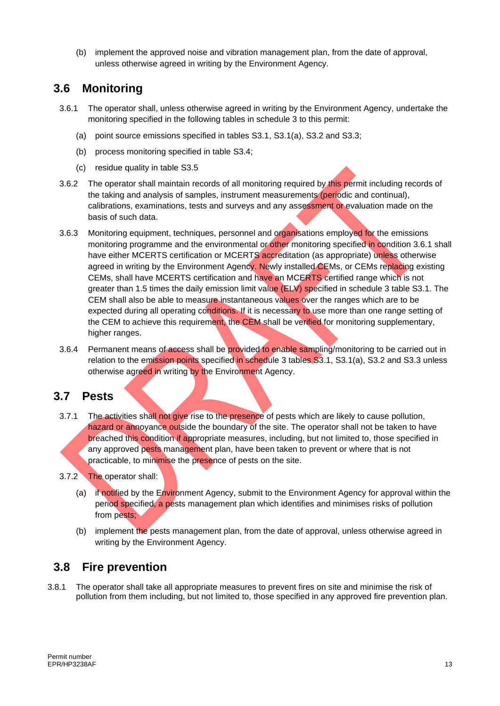(b) implement the approved noise and vibration management plan, from the date of approval, unless otherwise agreed in writing by the Environment Agency.

### **3.6 Monitoring**

- 3.6.1 The operator shall, unless otherwise agreed in writing by the Environment Agency, undertake the monitoring specified in the following tables in schedule 3 to this permit:
	- (a) point source emissions specified in tables S3.1, S3.1(a), S3.2 and S3.3;
	- (b) process monitoring specified in table S3.4;
	- (c) residue quality in table S3.5
- 3.6.2 The operator shall maintain records of all monitoring required by this permit including records of the taking and analysis of samples, instrument measurements (periodic and continual), calibrations, examinations, tests and surveys and any assessment or evaluation made on the basis of such data.
- 3.6.3 Monitoring equipment, techniques, personnel and organisations employed for the emissions monitoring programme and the environmental or other monitoring specified in condition 3.6.1 shall have either MCERTS certification or MCERTS accreditation (as appropriate) unless otherwise agreed in writing by the Environment Agency. Newly installed CEMs, or CEMs replacing existing CEMs, shall have MCERTS certification and have an MCERTS certified range which is not greater than 1.5 times the daily emission limit value (ELV) specified in schedule 3 table S3.1. The CEM shall also be able to measure instantaneous values over the ranges which are to be expected during all operating conditions. If it is necessary to use more than one range setting of the CEM to achieve this requirement, the CEM shall be verified for monitoring supplementary, higher ranges.
- 3.6.4 Permanent means of access shall be provided to enable sampling/monitoring to be carried out in relation to the emission points specified in schedule 3 tables S3.1, S3.1(a), S3.2 and S3.3 unless otherwise agreed in writing by the Environment Agency.

#### **3.7 Pests**

- 3.7.1 The activities shall not give rise to the presence of pests which are likely to cause pollution, hazard or annoyance outside the boundary of the site. The operator shall not be taken to have breached this condition if appropriate measures, including, but not limited to, those specified in any approved pests management plan, have been taken to prevent or where that is not practicable, to minimise the presence of pests on the site.
- 3.7.2 The operator shall:
	- (a) if notified by the Environment Agency, submit to the Environment Agency for approval within the period specified, a pests management plan which identifies and minimises risks of pollution from pests;
	- (b) implement the pests management plan, from the date of approval, unless otherwise agreed in writing by the Environment Agency.

### **3.8 Fire prevention**

3.8.1 The operator shall take all appropriate measures to prevent fires on site and minimise the risk of pollution from them including, but not limited to, those specified in any approved fire prevention plan.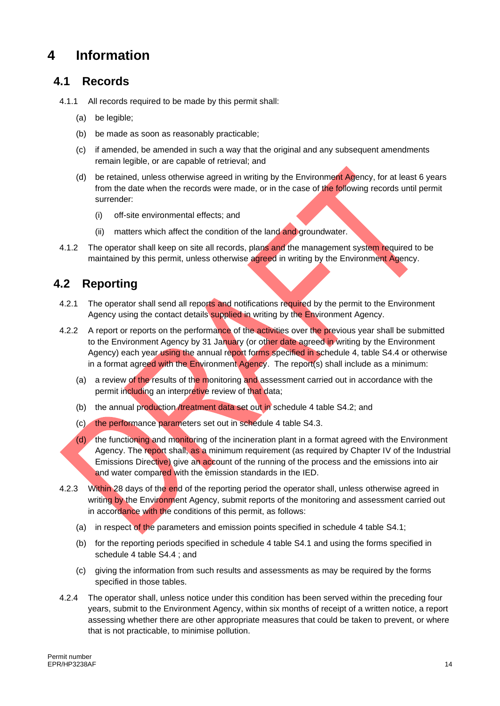### **4 Information**

### **4.1 Records**

- 4.1.1 All records required to be made by this permit shall:
	- (a) be legible;
	- (b) be made as soon as reasonably practicable;
	- (c) if amended, be amended in such a way that the original and any subsequent amendments remain legible, or are capable of retrieval; and
	- (d) be retained, unless otherwise agreed in writing by the Environment Agency, for at least 6 years from the date when the records were made, or in the case of the following records until permit surrender:
		- (i) off-site environmental effects; and
		- (ii) matters which affect the condition of the land and groundwater.
- 4.1.2 The operator shall keep on site all records, plans and the management system required to be maintained by this permit, unless otherwise agreed in writing by the Environment Agency.

### **4.2 Reporting**

- 4.2.1 The operator shall send all reports and notifications required by the permit to the Environment Agency using the contact details supplied in writing by the Environment Agency.
- 4.2.2 A report or reports on the performance of the activities over the previous year shall be submitted to the Environment Agency by 31 January (or other date agreed in writing by the Environment Agency) each year using the annual report forms specified in schedule 4, table S4.4 or otherwise in a format agreed with the Environment Agency. The report(s) shall include as a minimum:
	- (a) a review of the results of the monitoring and assessment carried out in accordance with the permit including an interpretive review of that data;
	- (b) the annual production /treatment data set out in schedule 4 table S4.2; and
	- (c) the performance parameters set out in schedule 4 table S4.3.
	- (d) the functioning and monitoring of the incineration plant in a format agreed with the Environment Agency. The report shall, as a minimum requirement (as required by Chapter IV of the Industrial Emissions Directive) give an account of the running of the process and the emissions into air and water compared with the emission standards in the IED.
- 4.2.3 Within 28 days of the end of the reporting period the operator shall, unless otherwise agreed in writing by the Environment Agency, submit reports of the monitoring and assessment carried out in accordance with the conditions of this permit, as follows:
	- (a) in respect of the parameters and emission points specified in schedule 4 table S4.1;
	- (b) for the reporting periods specified in schedule 4 table S4.1 and using the forms specified in schedule 4 table S4.4 ; and
	- (c) giving the information from such results and assessments as may be required by the forms specified in those tables.
- 4.2.4 The operator shall, unless notice under this condition has been served within the preceding four years, submit to the Environment Agency, within six months of receipt of a written notice, a report assessing whether there are other appropriate measures that could be taken to prevent, or where that is not practicable, to minimise pollution.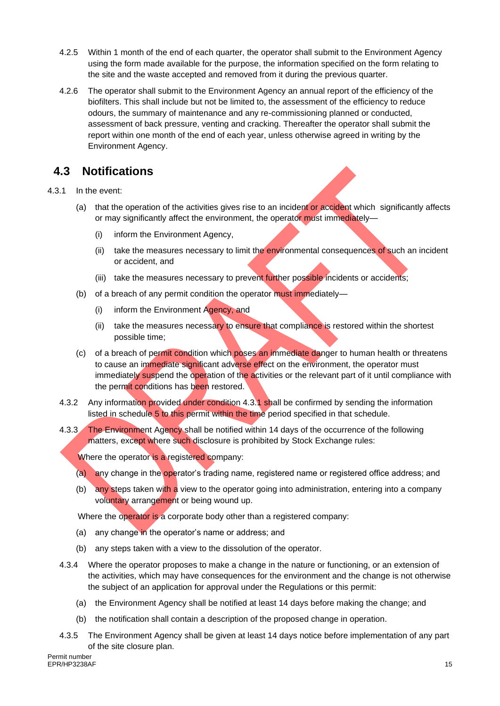- 4.2.5 Within 1 month of the end of each quarter, the operator shall submit to the Environment Agency using the form made available for the purpose, the information specified on the form relating to the site and the waste accepted and removed from it during the previous quarter.
- 4.2.6 The operator shall submit to the Environment Agency an annual report of the efficiency of the biofilters. This shall include but not be limited to, the assessment of the efficiency to reduce odours, the summary of maintenance and any re-commissioning planned or conducted, assessment of back pressure, venting and cracking. Thereafter the operator shall submit the report within one month of the end of each year, unless otherwise agreed in writing by the Environment Agency.

### **4.3 Notifications**

#### 4.3.1 In the event:

- (a) that the operation of the activities gives rise to an incident or accident which significantly affects or may significantly affect the environment, the operator must immediately-
	- (i) inform the Environment Agency,
	- (ii) take the measures necessary to limit the environmental consequences of such an incident or accident, and
	- (iii) take the measures necessary to prevent further possible incidents or accidents;
- (b) of a breach of any permit condition the operator must immediately—
	- (i) inform the Environment Agency, and
	- (ii) take the measures necessary to ensure that compliance is restored within the shortest possible time;
- (c) of a breach of permit condition which poses an immediate danger to human health or threatens to cause an immediate significant adverse effect on the environment, the operator must immediately suspend the operation of the activities or the relevant part of it until compliance with the permit conditions has been restored.
- 4.3.2 Any information provided under condition 4.3.1 shall be confirmed by sending the information listed in schedule 5 to this permit within the time period specified in that schedule.
- 4.3.3 The Environment Agency shall be notified within 14 days of the occurrence of the following matters, except where such disclosure is prohibited by Stock Exchange rules:

Where the operator is a registered company:

- (a) any change in the operator's trading name, registered name or registered office address; and
- (b) any steps taken with a view to the operator going into administration, entering into a company voluntary arrangement or being wound up.

Where the operator is a corporate body other than a registered company:

- (a) any change in the operator's name or address; and
- (b) any steps taken with a view to the dissolution of the operator.
- 4.3.4 Where the operator proposes to make a change in the nature or functioning, or an extension of the activities, which may have consequences for the environment and the change is not otherwise the subject of an application for approval under the Regulations or this permit:
	- (a) the Environment Agency shall be notified at least 14 days before making the change; and
	- (b) the notification shall contain a description of the proposed change in operation.
- 4.3.5 The Environment Agency shall be given at least 14 days notice before implementation of any part of the site closure plan.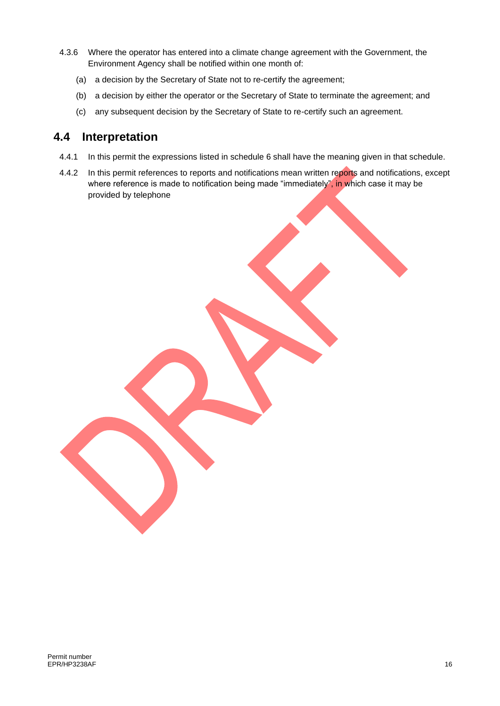- 4.3.6 Where the operator has entered into a climate change agreement with the Government, the Environment Agency shall be notified within one month of:
	- (a) a decision by the Secretary of State not to re-certify the agreement;
	- (b) a decision by either the operator or the Secretary of State to terminate the agreement; and
	- (c) any subsequent decision by the Secretary of State to re-certify such an agreement.

#### **4.4 Interpretation**

- 4.4.1 In this permit the expressions listed in schedule 6 shall have the meaning given in that schedule.
- 4.4.2 In this permit references to reports and notifications mean written reports and notifications, except where reference is made to notification being made "immediately", in which case it may be provided by telephone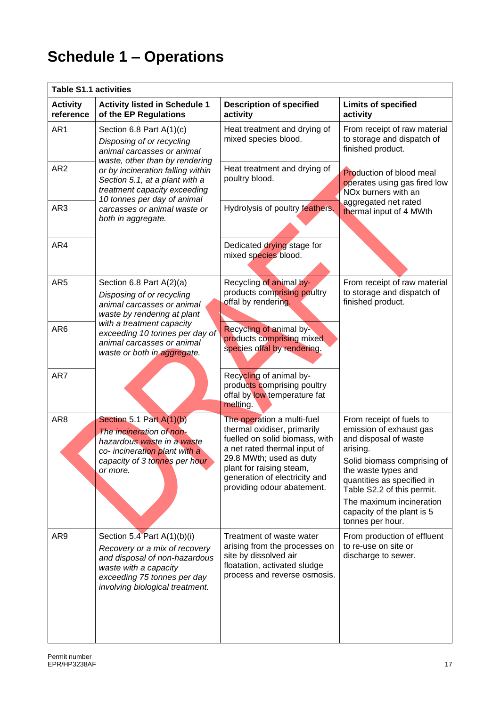# **Schedule 1 – Operations**

| <b>Table S1.1 activities</b> |                                                                                                                                                                                                                              |                                                                                                                                                                                                                                                   |                                                                                                                                                                                                                                                                                          |  |  |  |
|------------------------------|------------------------------------------------------------------------------------------------------------------------------------------------------------------------------------------------------------------------------|---------------------------------------------------------------------------------------------------------------------------------------------------------------------------------------------------------------------------------------------------|------------------------------------------------------------------------------------------------------------------------------------------------------------------------------------------------------------------------------------------------------------------------------------------|--|--|--|
| <b>Activity</b><br>reference | <b>Activity listed in Schedule 1</b><br>of the EP Regulations                                                                                                                                                                | <b>Description of specified</b><br>activity                                                                                                                                                                                                       | <b>Limits of specified</b><br>activity                                                                                                                                                                                                                                                   |  |  |  |
| AR1                          | Section 6.8 Part A(1)(c)<br>Disposing of or recycling<br>animal carcasses or animal<br>waste, other than by rendering<br>or by incineration falling within<br>Section 5.1, at a plant with a<br>treatment capacity exceeding | Heat treatment and drying of<br>mixed species blood.                                                                                                                                                                                              | From receipt of raw material<br>to storage and dispatch of<br>finished product.                                                                                                                                                                                                          |  |  |  |
| AR <sub>2</sub>              |                                                                                                                                                                                                                              | Heat treatment and drying of<br>poultry blood.                                                                                                                                                                                                    | <b>Production of blood meal</b><br>operates using gas fired low<br>NO <sub>x</sub> burners with an                                                                                                                                                                                       |  |  |  |
| AR3                          | 10 tonnes per day of animal<br>carcasses or animal waste or<br>both in aggregate.                                                                                                                                            | Hydrolysis of poultry feathers.                                                                                                                                                                                                                   | aggregated net rated<br>thermal input of 4 MWth                                                                                                                                                                                                                                          |  |  |  |
| AR4                          |                                                                                                                                                                                                                              | Dedicated drying stage for<br>mixed species blood.                                                                                                                                                                                                |                                                                                                                                                                                                                                                                                          |  |  |  |
| AR <sub>5</sub>              | Section 6.8 Part $A(2)(a)$<br>Disposing of or recycling<br>animal carcasses or animal<br>waste by rendering at plant                                                                                                         | Recycling of animal by-<br>products comprising poultry<br>offal by rendering.                                                                                                                                                                     | From receipt of raw material<br>to storage and dispatch of<br>finished product.                                                                                                                                                                                                          |  |  |  |
| AR <sub>6</sub>              | with a treatment capacity<br>exceeding 10 tonnes per day of<br>animal carcasses or animal<br>waste or both in aggregate.                                                                                                     | Recycling of animal by-<br>products comprising mixed<br>species offal by rendering.                                                                                                                                                               |                                                                                                                                                                                                                                                                                          |  |  |  |
| AR7                          |                                                                                                                                                                                                                              | Recycling of animal by-<br>products comprising poultry<br>offal by low temperature fat<br>melting.                                                                                                                                                |                                                                                                                                                                                                                                                                                          |  |  |  |
| AR <sub>8</sub>              | Section 5.1 Part $A(1)(b)$<br>The incineration of non-<br>hazardous waste in a waste<br>co- incineration plant with a<br>capacity of 3 tonnes per hour<br>or more.                                                           | The operation a multi-fuel<br>thermal oxidiser, primarily<br>fuelled on solid biomass, with<br>a net rated thermal input of<br>29.8 MWth; used as duty<br>plant for raising steam,<br>generation of electricity and<br>providing odour abatement. | From receipt of fuels to<br>emission of exhaust gas<br>and disposal of waste<br>arising.<br>Solid biomass comprising of<br>the waste types and<br>quantities as specified in<br>Table S2.2 of this permit.<br>The maximum incineration<br>capacity of the plant is 5<br>tonnes per hour. |  |  |  |
| AR9                          | Section 5.4 Part A(1)(b)(i)<br>Recovery or a mix of recovery<br>and disposal of non-hazardous<br>waste with a capacity<br>exceeding 75 tonnes per day<br>involving biological treatment.                                     | Treatment of waste water<br>arising from the processes on<br>site by dissolved air<br>floatation, activated sludge<br>process and reverse osmosis.                                                                                                | From production of effluent<br>to re-use on site or<br>discharge to sewer.                                                                                                                                                                                                               |  |  |  |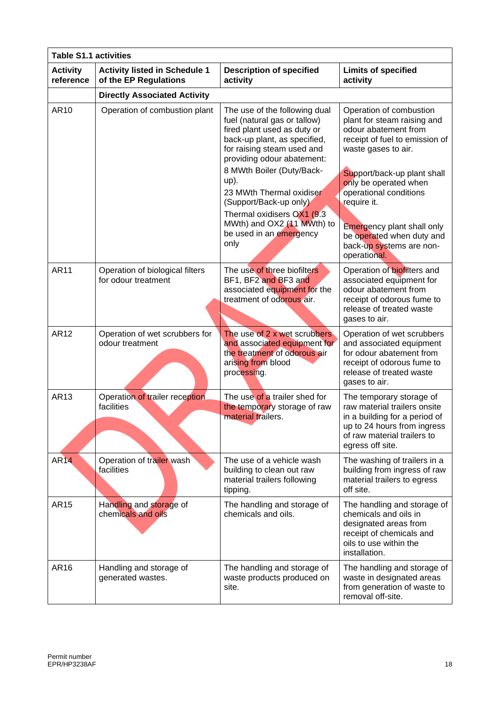| <b>Table S1.1 activities</b> |                                                               |                                                                                                                                                                                          |                                                                                                                                                                             |  |  |  |
|------------------------------|---------------------------------------------------------------|------------------------------------------------------------------------------------------------------------------------------------------------------------------------------------------|-----------------------------------------------------------------------------------------------------------------------------------------------------------------------------|--|--|--|
| <b>Activity</b><br>reference | <b>Activity listed in Schedule 1</b><br>of the EP Regulations | <b>Description of specified</b><br>activity                                                                                                                                              | <b>Limits of specified</b><br>activity                                                                                                                                      |  |  |  |
|                              | <b>Directly Associated Activity</b>                           |                                                                                                                                                                                          |                                                                                                                                                                             |  |  |  |
| AR10                         | Operation of combustion plant                                 | The use of the following dual<br>fuel (natural gas or tallow)<br>fired plant used as duty or<br>back-up plant, as specified,<br>for raising steam used and<br>providing odour abatement: | Operation of combustion<br>plant for steam raising and<br>odour abatement from<br>receipt of fuel to emission of<br>waste gases to air.                                     |  |  |  |
|                              |                                                               | 8 MWth Boiler (Duty/Back-<br>up).<br>23 MWth Thermal oxidiser<br>(Support/Back-up only)                                                                                                  | Support/back-up plant shall<br>only be operated when<br>operational conditions<br>require it.                                                                               |  |  |  |
|                              |                                                               | Thermal oxidisers OX1 (9.3)<br>MWth) and OX2 (11 MWth) to<br>be used in an emergency<br>only                                                                                             | <b>Emergency plant shall only</b><br>be operated when duty and<br>back-up systems are non-<br>operational.                                                                  |  |  |  |
| <b>AR11</b>                  | Operation of biological filters<br>for odour treatment        | The use of three biofilters<br>BF1, BF2 and BF3 and<br>associated equipment for the<br>treatment of odorous air.                                                                         | Operation of biofilters and<br>associated equipment for<br>odour abatement from<br>receipt of odorous fume to<br>release of treated waste<br>gases to air.                  |  |  |  |
| <b>AR12</b>                  | Operation of wet scrubbers for<br>odour treatment             | The use of 2 x wet scrubbers<br>and associated equipment for<br>the treatment of odorous air<br>arising from blood<br>processing.                                                        | Operation of wet scrubbers<br>and associated equipment<br>for odour abatement from<br>receipt of odorous fume to<br>release of treated waste<br>gases to air.               |  |  |  |
| AR13                         | Operation of trailer reception<br>facilities                  | The use of a trailer shed for<br>the temporary storage of raw<br>material trailers.                                                                                                      | The temporary storage of<br>raw material trailers onsite<br>in a building for a period of<br>up to 24 hours from ingress<br>of raw material trailers to<br>egress off site. |  |  |  |
| <b>AR14</b>                  | Operation of trailer wash<br>facilities                       | The use of a vehicle wash<br>building to clean out raw<br>material trailers following<br>tipping.                                                                                        | The washing of trailers in a<br>building from ingress of raw<br>material trailers to egress<br>off site.                                                                    |  |  |  |
| <b>AR15</b>                  | Handling and storage of<br>chemicals and oils                 | The handling and storage of<br>chemicals and oils.                                                                                                                                       | The handling and storage of<br>chemicals and oils in<br>designated areas from<br>receipt of chemicals and<br>oils to use within the<br>installation.                        |  |  |  |
| AR16                         | Handling and storage of<br>generated wastes.                  | The handling and storage of<br>waste products produced on<br>site.                                                                                                                       | The handling and storage of<br>waste in designated areas<br>from generation of waste to<br>removal off-site.                                                                |  |  |  |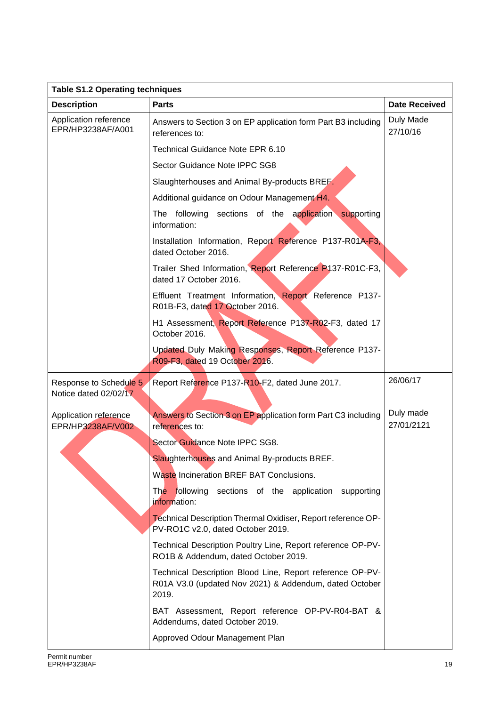| <b>Table S1.2 Operating techniques</b>          |                                                                                                                              |                         |  |  |  |  |
|-------------------------------------------------|------------------------------------------------------------------------------------------------------------------------------|-------------------------|--|--|--|--|
| <b>Description</b>                              | <b>Parts</b>                                                                                                                 | <b>Date Received</b>    |  |  |  |  |
| Application reference<br>EPR/HP3238AF/A001      | Answers to Section 3 on EP application form Part B3 including<br>references to:                                              | Duly Made<br>27/10/16   |  |  |  |  |
|                                                 | Technical Guidance Note EPR 6.10                                                                                             |                         |  |  |  |  |
|                                                 | Sector Guidance Note IPPC SG8                                                                                                |                         |  |  |  |  |
|                                                 | Slaughterhouses and Animal By-products BREF.                                                                                 |                         |  |  |  |  |
|                                                 | Additional guidance on Odour Management H4.                                                                                  |                         |  |  |  |  |
|                                                 | The following sections of the application supporting<br>information:                                                         |                         |  |  |  |  |
|                                                 | Installation Information, Report Reference P137-R01A-F3,<br>dated October 2016.                                              |                         |  |  |  |  |
|                                                 | Trailer Shed Information, Report Reference P137-R01C-F3,<br>dated 17 October 2016.                                           |                         |  |  |  |  |
|                                                 | Effluent Treatment Information, Report Reference P137-<br>R01B-F3, dated 17 October 2016.                                    |                         |  |  |  |  |
|                                                 | H1 Assessment, Report Reference P137-R02-F3, dated 17<br>October 2016.                                                       |                         |  |  |  |  |
|                                                 | Updated Duly Making Responses, Report Reference P137-<br>R09-F3, dated 19 October 2016.                                      |                         |  |  |  |  |
| Response to Schedule 5<br>Notice dated 02/02/17 | Report Reference P137-R10-F2, dated June 2017.                                                                               | 26/06/17                |  |  |  |  |
| Application reference<br>EPR/HP3238AF/V002      | Answers to Section 3 on EP application form Part C3 including<br>references to:                                              | Duly made<br>27/01/2121 |  |  |  |  |
|                                                 | Sector Guidance Note IPPC SG8.                                                                                               |                         |  |  |  |  |
|                                                 | Slaughterhouses and Animal By-products BREF.                                                                                 |                         |  |  |  |  |
|                                                 | Waste Incineration BREF BAT Conclusions.                                                                                     |                         |  |  |  |  |
|                                                 | The following sections of the application supporting<br>information:                                                         |                         |  |  |  |  |
|                                                 | Technical Description Thermal Oxidiser, Report reference OP-<br>PV-RO1C v2.0, dated October 2019.                            |                         |  |  |  |  |
|                                                 | Technical Description Poultry Line, Report reference OP-PV-<br>RO1B & Addendum, dated October 2019.                          |                         |  |  |  |  |
|                                                 | Technical Description Blood Line, Report reference OP-PV-<br>R01A V3.0 (updated Nov 2021) & Addendum, dated October<br>2019. |                         |  |  |  |  |
|                                                 | BAT Assessment, Report reference OP-PV-R04-BAT &<br>Addendums, dated October 2019.                                           |                         |  |  |  |  |
|                                                 | Approved Odour Management Plan                                                                                               |                         |  |  |  |  |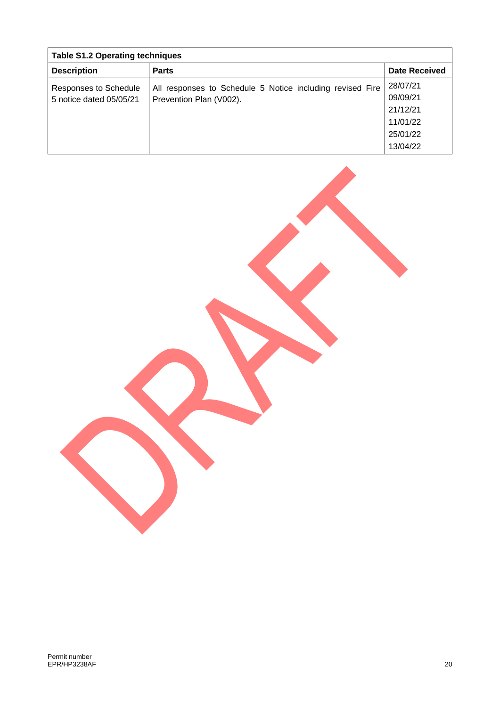| <b>Table S1.2 Operating techniques</b> |                                                           |                      |  |  |  |
|----------------------------------------|-----------------------------------------------------------|----------------------|--|--|--|
| <b>Description</b>                     | <b>Parts</b>                                              | <b>Date Received</b> |  |  |  |
| <b>Responses to Schedule</b>           | All responses to Schedule 5 Notice including revised Fire | 28/07/21             |  |  |  |
| 5 notice dated 05/05/21                | Prevention Plan (V002).                                   | 09/09/21             |  |  |  |
|                                        |                                                           | 21/12/21             |  |  |  |
|                                        |                                                           | 11/01/22             |  |  |  |
|                                        |                                                           | 25/01/22             |  |  |  |
|                                        |                                                           | 13/04/22             |  |  |  |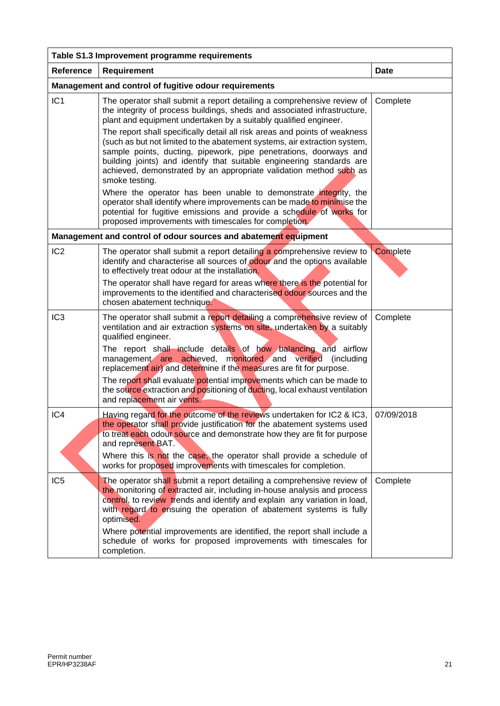| Table S1.3 Improvement programme requirements |                                                                                                                                                                                                                                                                                                                                                                                                                                                             |             |  |  |  |  |  |
|-----------------------------------------------|-------------------------------------------------------------------------------------------------------------------------------------------------------------------------------------------------------------------------------------------------------------------------------------------------------------------------------------------------------------------------------------------------------------------------------------------------------------|-------------|--|--|--|--|--|
| <b>Reference</b>                              | <b>Requirement</b>                                                                                                                                                                                                                                                                                                                                                                                                                                          | <b>Date</b> |  |  |  |  |  |
|                                               | Management and control of fugitive odour requirements                                                                                                                                                                                                                                                                                                                                                                                                       |             |  |  |  |  |  |
| IC <sub>1</sub>                               | The operator shall submit a report detailing a comprehensive review of<br>the integrity of process buildings, sheds and associated infrastructure,<br>plant and equipment undertaken by a suitably qualified engineer.                                                                                                                                                                                                                                      | Complete    |  |  |  |  |  |
|                                               | The report shall specifically detail all risk areas and points of weakness<br>(such as but not limited to the abatement systems, air extraction system,<br>sample points, ducting, pipework, pipe penetrations, doorways and<br>building joints) and identify that suitable engineering standards are<br>achieved, demonstrated by an appropriate validation method such as<br>smoke testing.                                                               |             |  |  |  |  |  |
|                                               | Where the operator has been unable to demonstrate integrity, the<br>operator shall identify where improvements can be made to minimise the<br>potential for fugitive emissions and provide a schedule of works for<br>proposed improvements with timescales for completion.                                                                                                                                                                                 |             |  |  |  |  |  |
|                                               | Management and control of odour sources and abatement equipment                                                                                                                                                                                                                                                                                                                                                                                             |             |  |  |  |  |  |
| IC <sub>2</sub>                               | The operator shall submit a report detailing a comprehensive review to<br>identify and characterise all sources of odour and the options available<br>to effectively treat odour at the installation.                                                                                                                                                                                                                                                       | Complete    |  |  |  |  |  |
|                                               | The operator shall have regard for areas where there is the potential for<br>improvements to the identified and characterised odour sources and the<br>chosen abatement technique.                                                                                                                                                                                                                                                                          |             |  |  |  |  |  |
| IC <sub>3</sub>                               | The operator shall submit a report detailing a comprehensive review of<br>ventilation and air extraction systems on site, undertaken by a suitably<br>qualified engineer.<br>The report shall include details of how balancing and airflow<br>management are achieved, monitored and verified<br>(including<br>replacement air) and determine if the measures are fit for purpose.<br>The report shall evaluate potential improvements which can be made to | Complete    |  |  |  |  |  |
|                                               | the source extraction and positioning of ducting, local exhaust ventilation<br>and replacement air vents.                                                                                                                                                                                                                                                                                                                                                   |             |  |  |  |  |  |
| IC4                                           | Having regard for the outcome of the reviews undertaken for IC2 & IC3,<br>the operator shall provide justification for the abatement systems used<br>to treat each odour source and demonstrate how they are fit for purpose<br>and represent BAT.<br>Where this is not the case, the operator shall provide a schedule of<br>works for proposed improvements with timescales for completion.                                                               | 07/09/2018  |  |  |  |  |  |
| IC <sub>5</sub>                               | The operator shall submit a report detailing a comprehensive review of                                                                                                                                                                                                                                                                                                                                                                                      | Complete    |  |  |  |  |  |
|                                               | the monitoring of extracted air, including in-house analysis and process<br>control, to review trends and identify and explain any variation in load,<br>with regard to ensuing the operation of abatement systems is fully<br>optimised.                                                                                                                                                                                                                   |             |  |  |  |  |  |
|                                               | Where potential improvements are identified, the report shall include a<br>schedule of works for proposed improvements with timescales for<br>completion.                                                                                                                                                                                                                                                                                                   |             |  |  |  |  |  |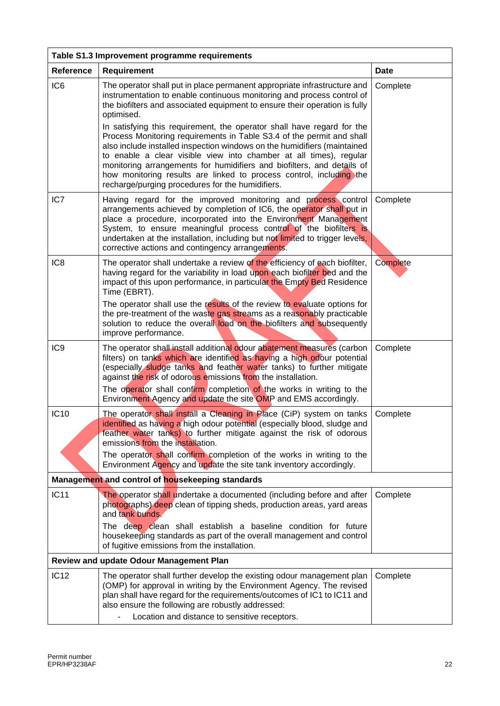| Table S1.3 Improvement programme requirements    |                                                                                                                                                                                                                                                                                                                                                                                                                                                                                                        |          |  |
|--------------------------------------------------|--------------------------------------------------------------------------------------------------------------------------------------------------------------------------------------------------------------------------------------------------------------------------------------------------------------------------------------------------------------------------------------------------------------------------------------------------------------------------------------------------------|----------|--|
| Reference                                        | <b>Requirement</b>                                                                                                                                                                                                                                                                                                                                                                                                                                                                                     | Date     |  |
| IC <sub>6</sub>                                  | The operator shall put in place permanent appropriate infrastructure and<br>instrumentation to enable continuous monitoring and process control of<br>the biofilters and associated equipment to ensure their operation is fully<br>optimised.                                                                                                                                                                                                                                                         | Complete |  |
|                                                  | In satisfying this requirement, the operator shall have regard for the<br>Process Monitoring requirements in Table S3.4 of the permit and shall<br>also include installed inspection windows on the humidifiers (maintained<br>to enable a clear visible view into chamber at all times), regular<br>monitoring arrangements for humidifiers and biofilters, and details of<br>how monitoring results are linked to process control, including the<br>recharge/purging procedures for the humidifiers. |          |  |
| IC7                                              | Having regard for the improved monitoring and process control<br>arrangements achieved by completion of IC6, the operator shall put in<br>place a procedure, incorporated into the Environment Management<br>System, to ensure meaningful process control of the biofilters is<br>undertaken at the installation, including but not limited to trigger levels,<br>corrective actions and contingency arrangements.                                                                                     | Complete |  |
| IC <sub>8</sub>                                  | The operator shall undertake a review of the efficiency of each biofilter,<br>having regard for the variability in load upon each biofilter bed and the<br>impact of this upon performance, in particular the Empty Bed Residence<br>Time (EBRT).                                                                                                                                                                                                                                                      | Complete |  |
|                                                  | The operator shall use the results of the review to evaluate options for<br>the pre-treatment of the waste gas streams as a reasonably practicable<br>solution to reduce the overall load on the biofilters and subsequently<br>improve performance.                                                                                                                                                                                                                                                   |          |  |
| IC <sub>9</sub>                                  | The operator shall install additional odour abatement measures (carbon<br>filters) on tanks which are identified as having a high odour potential<br>(especially sludge tanks and feather water tanks) to further mitigate<br>against the risk of odorous emissions from the installation.                                                                                                                                                                                                             | Complete |  |
|                                                  | The operator shall confirm completion of the works in writing to the<br>Environment Agency and update the site OMP and EMS accordingly.                                                                                                                                                                                                                                                                                                                                                                |          |  |
| <b>IC10</b>                                      | The operator shall install a Cleaning in Place (CiP) system on tanks<br>identified as having a high odour potential (especially blood, sludge and<br>feather water tanks) to further mitigate against the risk of odorous<br>emissions from the installation.                                                                                                                                                                                                                                          | Complete |  |
|                                                  | The operator shall confirm completion of the works in writing to the<br>Environment Agency and update the site tank inventory accordingly.                                                                                                                                                                                                                                                                                                                                                             |          |  |
| Management and control of housekeeping standards |                                                                                                                                                                                                                                                                                                                                                                                                                                                                                                        |          |  |
| <b>IC11</b>                                      | The operator shall undertake a documented (including before and after<br>photographs) deep clean of tipping sheds, production areas, yard areas<br>and tank bunds.                                                                                                                                                                                                                                                                                                                                     | Complete |  |
|                                                  | The deep clean shall establish a baseline condition for future<br>housekeeping standards as part of the overall management and control<br>of fugitive emissions from the installation.                                                                                                                                                                                                                                                                                                                 |          |  |
|                                                  | <b>Review and update Odour Management Plan</b>                                                                                                                                                                                                                                                                                                                                                                                                                                                         |          |  |
| <b>IC12</b>                                      | The operator shall further develop the existing odour management plan<br>(OMP) for approval in writing by the Environment Agency. The revised<br>plan shall have regard for the requirements/outcomes of IC1 to IC11 and<br>also ensure the following are robustly addressed:                                                                                                                                                                                                                          | Complete |  |
|                                                  | Location and distance to sensitive receptors.                                                                                                                                                                                                                                                                                                                                                                                                                                                          |          |  |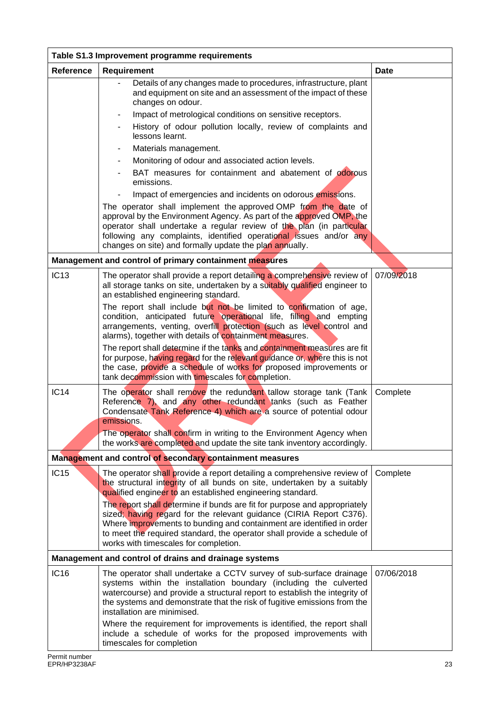| Table S1.3 Improvement programme requirements         |                                                                                                                                                                                                                                                                                                                                                                                                              |            |
|-------------------------------------------------------|--------------------------------------------------------------------------------------------------------------------------------------------------------------------------------------------------------------------------------------------------------------------------------------------------------------------------------------------------------------------------------------------------------------|------------|
| Reference                                             | Requirement                                                                                                                                                                                                                                                                                                                                                                                                  | Date       |
|                                                       | Details of any changes made to procedures, infrastructure, plant<br>and equipment on site and an assessment of the impact of these<br>changes on odour.<br>Impact of metrological conditions on sensitive receptors.<br>-                                                                                                                                                                                    |            |
|                                                       | History of odour pollution locally, review of complaints and<br>lessons learnt.                                                                                                                                                                                                                                                                                                                              |            |
|                                                       | Materials management.<br>۰                                                                                                                                                                                                                                                                                                                                                                                   |            |
|                                                       | Monitoring of odour and associated action levels.<br>$\blacksquare$                                                                                                                                                                                                                                                                                                                                          |            |
|                                                       | BAT measures for containment and abatement of odorous<br>emissions.                                                                                                                                                                                                                                                                                                                                          |            |
|                                                       | Impact of emergencies and incidents on odorous emissions.<br>The operator shall implement the approved OMP from the date of<br>approval by the Environment Agency. As part of the approved OMP, the<br>operator shall undertake a regular review of the plan (in particular<br>following any complaints, identified operational issues and/or any<br>changes on site) and formally update the plan annually. |            |
|                                                       | Management and control of primary containment measures                                                                                                                                                                                                                                                                                                                                                       |            |
| <b>IC13</b>                                           | The operator shall provide a report detailing a comprehensive review of<br>all storage tanks on site, undertaken by a suitably qualified engineer to<br>an established engineering standard.                                                                                                                                                                                                                 | 07/09/2018 |
|                                                       | The report shall include but not be limited to confirmation of age,<br>condition, anticipated future operational life, filling and empting<br>arrangements, venting, overfill protection (such as level control and<br>alarms), together with details of containment measures.                                                                                                                               |            |
|                                                       | The report shall determine if the tanks and containment measures are fit<br>for purpose, having regard for the relevant guidance or, where this is not<br>the case, provide a schedule of works for proposed improvements or<br>tank decommission with timescales for completion.                                                                                                                            |            |
| <b>IC14</b>                                           | The operator shall remove the redundant tallow storage tank (Tank<br>Reference 7), and any other redundant tanks (such as Feather<br>Condensate Tank Reference 4) which are a source of potential odour<br>emissions.                                                                                                                                                                                        | Complete   |
|                                                       | The operator shall confirm in writing to the Environment Agency when<br>the works are completed and update the site tank inventory accordingly.                                                                                                                                                                                                                                                              |            |
|                                                       | Management and control of secondary containment measures                                                                                                                                                                                                                                                                                                                                                     |            |
| <b>IC15</b>                                           | The operator shall provide a report detailing a comprehensive review of<br>the structural integrity of all bunds on site, undertaken by a suitably<br>qualified engineer to an established engineering standard.                                                                                                                                                                                             | Complete   |
|                                                       | The report shall determine if bunds are fit for purpose and appropriately<br>sized; having regard for the relevant guidance (CIRIA Report C376).<br>Where improvements to bunding and containment are identified in order<br>to meet the required standard, the operator shall provide a schedule of<br>works with timescales for completion.                                                                |            |
| Management and control of drains and drainage systems |                                                                                                                                                                                                                                                                                                                                                                                                              |            |
| <b>IC16</b>                                           | The operator shall undertake a CCTV survey of sub-surface drainage<br>systems within the installation boundary (including the culverted<br>watercourse) and provide a structural report to establish the integrity of<br>the systems and demonstrate that the risk of fugitive emissions from the<br>installation are minimised.                                                                             | 07/06/2018 |
|                                                       | Where the requirement for improvements is identified, the report shall<br>include a schedule of works for the proposed improvements with<br>timescales for completion                                                                                                                                                                                                                                        |            |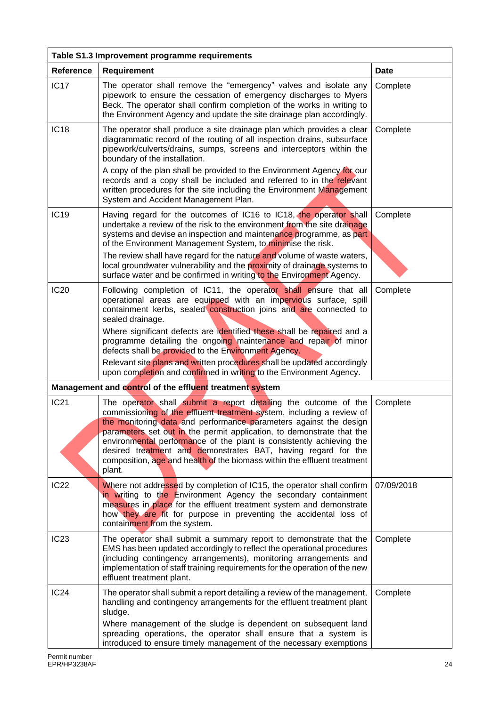| Table S1.3 Improvement programme requirements |                                                                                                                                                                                                                                                                                                                                                                                                                                                                                                                       |             |
|-----------------------------------------------|-----------------------------------------------------------------------------------------------------------------------------------------------------------------------------------------------------------------------------------------------------------------------------------------------------------------------------------------------------------------------------------------------------------------------------------------------------------------------------------------------------------------------|-------------|
| <b>Reference</b>                              | Requirement                                                                                                                                                                                                                                                                                                                                                                                                                                                                                                           | <b>Date</b> |
| <b>IC17</b>                                   | The operator shall remove the "emergency" valves and isolate any<br>pipework to ensure the cessation of emergency discharges to Myers<br>Beck. The operator shall confirm completion of the works in writing to<br>the Environment Agency and update the site drainage plan accordingly.                                                                                                                                                                                                                              | Complete    |
| <b>IC18</b>                                   | The operator shall produce a site drainage plan which provides a clear<br>diagrammatic record of the routing of all inspection drains, subsurface<br>pipework/culverts/drains, sumps, screens and interceptors within the<br>boundary of the installation.<br>A copy of the plan shall be provided to the Environment Agency for our<br>records and a copy shall be included and referred to in the relevant<br>written procedures for the site including the Environment Management                                  | Complete    |
|                                               | System and Accident Management Plan.                                                                                                                                                                                                                                                                                                                                                                                                                                                                                  |             |
| <b>IC19</b>                                   | Having regard for the outcomes of IC16 to IC18, the operator shall<br>undertake a review of the risk to the environment from the site drainage<br>systems and devise an inspection and maintenance programme, as part<br>of the Environment Management System, to minimise the risk.                                                                                                                                                                                                                                  | Complete    |
|                                               | The review shall have regard for the nature and volume of waste waters,<br>local groundwater vulnerability and the proximity of drainage systems to<br>surface water and be confirmed in writing to the Environment Agency.                                                                                                                                                                                                                                                                                           |             |
| <b>IC20</b>                                   | Following completion of IC11, the operator shall ensure that all<br>operational areas are equipped with an impervious surface, spill<br>containment kerbs, sealed construction joins and are connected to<br>sealed drainage.                                                                                                                                                                                                                                                                                         | Complete    |
|                                               | Where significant defects are identified these shall be repaired and a<br>programme detailing the ongoing maintenance and repair of minor<br>defects shall be provided to the Environment Agency.                                                                                                                                                                                                                                                                                                                     |             |
|                                               | Relevant site plans and written procedures shall be updated accordingly<br>upon completion and confirmed in writing to the Environment Agency.                                                                                                                                                                                                                                                                                                                                                                        |             |
|                                               | Management and control of the effluent treatment system                                                                                                                                                                                                                                                                                                                                                                                                                                                               |             |
| <b>IC21</b>                                   | The operator shall submit a report detailing the outcome of the<br>commissioning of the effluent treatment system, including a review of<br>the monitoring data and performance parameters against the design<br>parameters set out in the permit application, to demonstrate that the<br>environmental performance of the plant is consistently achieving the<br>desired treatment and demonstrates BAT, having regard for the<br>composition, age and health of the biomass within the effluent treatment<br>plant. | Complete    |
| <b>IC22</b>                                   | Where not addressed by completion of IC15, the operator shall confirm<br>in writing to the Environment Agency the secondary containment<br>measures in place for the effluent treatment system and demonstrate<br>how they are fit for purpose in preventing the accidental loss of<br>containment from the system.                                                                                                                                                                                                   | 07/09/2018  |
| IC <sub>23</sub>                              | The operator shall submit a summary report to demonstrate that the<br>EMS has been updated accordingly to reflect the operational procedures<br>(including contingency arrangements), monitoring arrangements and<br>implementation of staff training requirements for the operation of the new<br>effluent treatment plant.                                                                                                                                                                                          | Complete    |
| IC24                                          | The operator shall submit a report detailing a review of the management,<br>handling and contingency arrangements for the effluent treatment plant<br>sludge.<br>Where management of the sludge is dependent on subsequent land<br>spreading operations, the operator shall ensure that a system is                                                                                                                                                                                                                   | Complete    |
|                                               | introduced to ensure timely management of the necessary exemptions                                                                                                                                                                                                                                                                                                                                                                                                                                                    |             |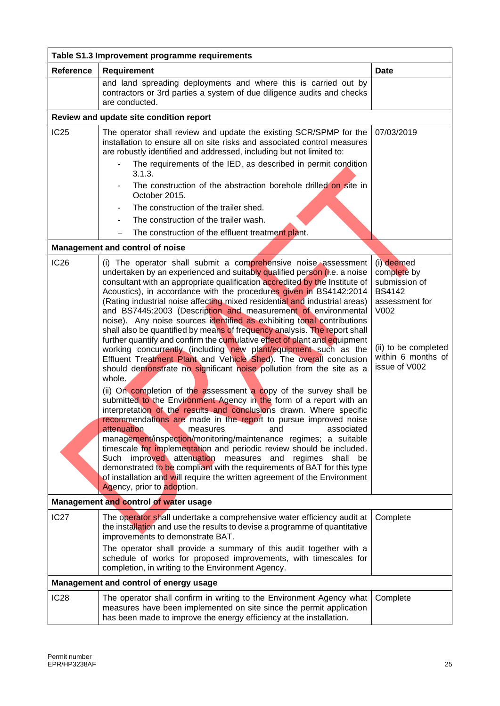| Table S1.3 Improvement programme requirements |                                                                                                                                                                                                                                                                                                                                                                                                                                                                                                                                                                                                                                                                                                                                                                                                                                                                                                                                                                                                                                                                                                                                                                                                                                                                                                                                                                                                                                                                                                                                                                                                                                                   |                                                                                                                                                      |
|-----------------------------------------------|---------------------------------------------------------------------------------------------------------------------------------------------------------------------------------------------------------------------------------------------------------------------------------------------------------------------------------------------------------------------------------------------------------------------------------------------------------------------------------------------------------------------------------------------------------------------------------------------------------------------------------------------------------------------------------------------------------------------------------------------------------------------------------------------------------------------------------------------------------------------------------------------------------------------------------------------------------------------------------------------------------------------------------------------------------------------------------------------------------------------------------------------------------------------------------------------------------------------------------------------------------------------------------------------------------------------------------------------------------------------------------------------------------------------------------------------------------------------------------------------------------------------------------------------------------------------------------------------------------------------------------------------------|------------------------------------------------------------------------------------------------------------------------------------------------------|
| <b>Reference</b>                              | <b>Requirement</b>                                                                                                                                                                                                                                                                                                                                                                                                                                                                                                                                                                                                                                                                                                                                                                                                                                                                                                                                                                                                                                                                                                                                                                                                                                                                                                                                                                                                                                                                                                                                                                                                                                | <b>Date</b>                                                                                                                                          |
|                                               | and land spreading deployments and where this is carried out by<br>contractors or 3rd parties a system of due diligence audits and checks<br>are conducted.                                                                                                                                                                                                                                                                                                                                                                                                                                                                                                                                                                                                                                                                                                                                                                                                                                                                                                                                                                                                                                                                                                                                                                                                                                                                                                                                                                                                                                                                                       |                                                                                                                                                      |
|                                               | Review and update site condition report                                                                                                                                                                                                                                                                                                                                                                                                                                                                                                                                                                                                                                                                                                                                                                                                                                                                                                                                                                                                                                                                                                                                                                                                                                                                                                                                                                                                                                                                                                                                                                                                           |                                                                                                                                                      |
| IC25                                          | The operator shall review and update the existing SCR/SPMP for the<br>installation to ensure all on site risks and associated control measures<br>are robustly identified and addressed, including but not limited to:<br>The requirements of the IED, as described in permit condition<br>3.1.3.<br>The construction of the abstraction borehole drilled on site in<br>$\overline{\phantom{a}}$<br>October 2015.<br>The construction of the trailer shed.<br>The construction of the trailer wash.<br>$\overline{\phantom{0}}$                                                                                                                                                                                                                                                                                                                                                                                                                                                                                                                                                                                                                                                                                                                                                                                                                                                                                                                                                                                                                                                                                                                   | 07/03/2019                                                                                                                                           |
|                                               | The construction of the effluent treatment plant.                                                                                                                                                                                                                                                                                                                                                                                                                                                                                                                                                                                                                                                                                                                                                                                                                                                                                                                                                                                                                                                                                                                                                                                                                                                                                                                                                                                                                                                                                                                                                                                                 |                                                                                                                                                      |
|                                               | Management and control of noise                                                                                                                                                                                                                                                                                                                                                                                                                                                                                                                                                                                                                                                                                                                                                                                                                                                                                                                                                                                                                                                                                                                                                                                                                                                                                                                                                                                                                                                                                                                                                                                                                   |                                                                                                                                                      |
| <b>IC26</b>                                   | (i) The operator shall submit a comprehensive noise assessment<br>undertaken by an experienced and suitably qualified person (i.e. a noise<br>consultant with an appropriate qualification accredited by the Institute of<br>Acoustics), in accordance with the procedures given in BS4142:2014<br>(Rating industrial noise affecting mixed residential and industrial areas)<br>and BS7445:2003 (Description and measurement of environmental<br>noise). Any noise sources identified as exhibiting tonal contributions<br>shall also be quantified by means of frequency analysis. The report shall<br>further quantify and confirm the cumulative effect of plant and equipment<br>working concurrently (including new plant/equipment such as the<br>Effluent Treatment Plant and Vehicle Shed). The overall conclusion<br>should demonstrate no significant noise pollution from the site as a<br>whole.<br>(ii) On completion of the assessment a copy of the survey shall be<br>submitted to the Environment Agency in the form of a report with an<br>interpretation of the results and conclusions drawn. Where specific<br>recommendations are made in the report to pursue improved noise<br>attenuation<br>associated<br>and<br>measures<br>management/inspection/monitoring/maintenance regimes; a suitable<br>timescale for implementation and periodic review should be included.<br>Such improved attenuation measures and regimes shall be<br>demonstrated to be compliant with the requirements of BAT for this type<br>of installation and will require the written agreement of the Environment<br>Agency, prior to adoption. | (i) deemed<br>complete by<br>submission of<br><b>BS4142</b><br>assessment for<br>V002<br>(ii) to be completed<br>within 6 months of<br>issue of V002 |
| Management and control of water usage         |                                                                                                                                                                                                                                                                                                                                                                                                                                                                                                                                                                                                                                                                                                                                                                                                                                                                                                                                                                                                                                                                                                                                                                                                                                                                                                                                                                                                                                                                                                                                                                                                                                                   |                                                                                                                                                      |
| IC <sub>27</sub>                              | The operator shall undertake a comprehensive water efficiency audit at<br>the installation and use the results to devise a programme of quantitative<br>improvements to demonstrate BAT.<br>The operator shall provide a summary of this audit together with a<br>schedule of works for proposed improvements, with timescales for<br>completion, in writing to the Environment Agency.                                                                                                                                                                                                                                                                                                                                                                                                                                                                                                                                                                                                                                                                                                                                                                                                                                                                                                                                                                                                                                                                                                                                                                                                                                                           | Complete                                                                                                                                             |
|                                               | Management and control of energy usage                                                                                                                                                                                                                                                                                                                                                                                                                                                                                                                                                                                                                                                                                                                                                                                                                                                                                                                                                                                                                                                                                                                                                                                                                                                                                                                                                                                                                                                                                                                                                                                                            |                                                                                                                                                      |
| <b>IC28</b>                                   | The operator shall confirm in writing to the Environment Agency what<br>measures have been implemented on site since the permit application<br>has been made to improve the energy efficiency at the installation.                                                                                                                                                                                                                                                                                                                                                                                                                                                                                                                                                                                                                                                                                                                                                                                                                                                                                                                                                                                                                                                                                                                                                                                                                                                                                                                                                                                                                                | Complete                                                                                                                                             |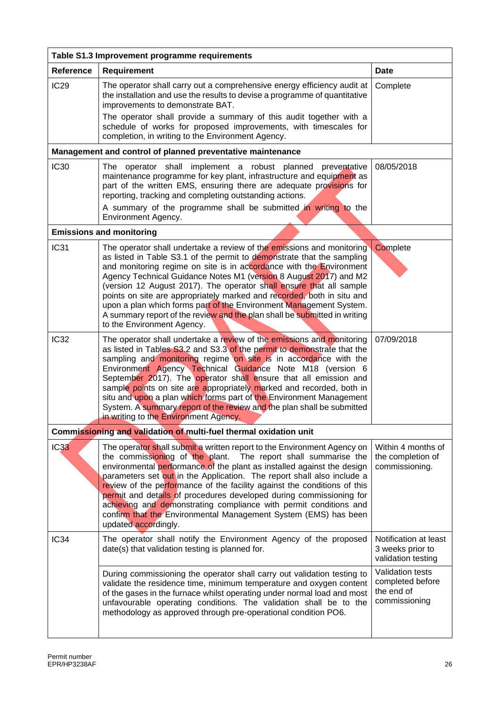| Table S1.3 Improvement programme requirements                     |                                                                                                                                                                                                                                                                                                                                                                                                                                                                                                                                                                                                                               |                                                                     |
|-------------------------------------------------------------------|-------------------------------------------------------------------------------------------------------------------------------------------------------------------------------------------------------------------------------------------------------------------------------------------------------------------------------------------------------------------------------------------------------------------------------------------------------------------------------------------------------------------------------------------------------------------------------------------------------------------------------|---------------------------------------------------------------------|
| <b>Reference</b>                                                  | <b>Requirement</b>                                                                                                                                                                                                                                                                                                                                                                                                                                                                                                                                                                                                            | <b>Date</b>                                                         |
| IC <sub>29</sub>                                                  | The operator shall carry out a comprehensive energy efficiency audit at<br>the installation and use the results to devise a programme of quantitative<br>improvements to demonstrate BAT.<br>The operator shall provide a summary of this audit together with a<br>schedule of works for proposed improvements, with timescales for                                                                                                                                                                                                                                                                                           | Complete                                                            |
|                                                                   | completion, in writing to the Environment Agency.                                                                                                                                                                                                                                                                                                                                                                                                                                                                                                                                                                             |                                                                     |
|                                                                   | Management and control of planned preventative maintenance                                                                                                                                                                                                                                                                                                                                                                                                                                                                                                                                                                    |                                                                     |
| <b>IC30</b>                                                       | The operator shall implement a robust planned preventative<br>maintenance programme for key plant, infrastructure and equipment as<br>part of the written EMS, ensuring there are adequate provisions for<br>reporting, tracking and completing outstanding actions.                                                                                                                                                                                                                                                                                                                                                          | 08/05/2018                                                          |
|                                                                   | A summary of the programme shall be submitted in writing to the<br>Environment Agency.                                                                                                                                                                                                                                                                                                                                                                                                                                                                                                                                        |                                                                     |
|                                                                   | <b>Emissions and monitoring</b>                                                                                                                                                                                                                                                                                                                                                                                                                                                                                                                                                                                               |                                                                     |
| <b>IC31</b>                                                       | The operator shall undertake a review of the emissions and monitoring<br>as listed in Table S3.1 of the permit to demonstrate that the sampling<br>and monitoring regime on site is in accordance with the Environment<br>Agency Technical Guidance Notes M1 (version 8 August 2017) and M2<br>(version 12 August 2017). The operator shall ensure that all sample<br>points on site are appropriately marked and recorded, both in situ and<br>upon a plan which forms part of the Environment Management System.<br>A summary report of the review and the plan shall be submitted in writing<br>to the Environment Agency. | Complete                                                            |
| <b>IC32</b>                                                       | The operator shall undertake a review of the emissions and monitoring<br>as listed in Tables S3.2 and S3.3 of the permit to demonstrate that the<br>sampling and monitoring regime on site is in accordance with the<br>Environment Agency Technical Guidance Note M18 (version 6<br>September 2017). The operator shall ensure that all emission and<br>sample points on site are appropriately marked and recorded, both in<br>situ and upon a plan which forms part of the Environment Management<br>System. A summary report of the review and the plan shall be submitted<br>in writing to the Environment Agency.       | 07/09/2018                                                          |
| Commissioning and validation of multi-fuel thermal oxidation unit |                                                                                                                                                                                                                                                                                                                                                                                                                                                                                                                                                                                                                               |                                                                     |
| <b>IC33</b>                                                       | The operator shall submit a written report to the Environment Agency on<br>the commissioning of the plant.<br>The report shall summarise the<br>environmental performance of the plant as installed against the design<br>parameters set out in the Application. The report shall also include a<br>review of the performance of the facility against the conditions of this<br>permit and details of procedures developed during commissioning for<br>achieving and demonstrating compliance with permit conditions and<br>confirm that the Environmental Management System (EMS) has been<br>updated accordingly.           | Within 4 months of<br>the completion of<br>commissioning.           |
| IC <sub>34</sub>                                                  | The operator shall notify the Environment Agency of the proposed<br>date(s) that validation testing is planned for.                                                                                                                                                                                                                                                                                                                                                                                                                                                                                                           | Notification at least<br>3 weeks prior to<br>validation testing     |
|                                                                   | During commissioning the operator shall carry out validation testing to<br>validate the residence time, minimum temperature and oxygen content<br>of the gases in the furnace whilst operating under normal load and most<br>unfavourable operating conditions. The validation shall be to the<br>methodology as approved through pre-operational condition PO6.                                                                                                                                                                                                                                                              | Validation tests<br>completed before<br>the end of<br>commissioning |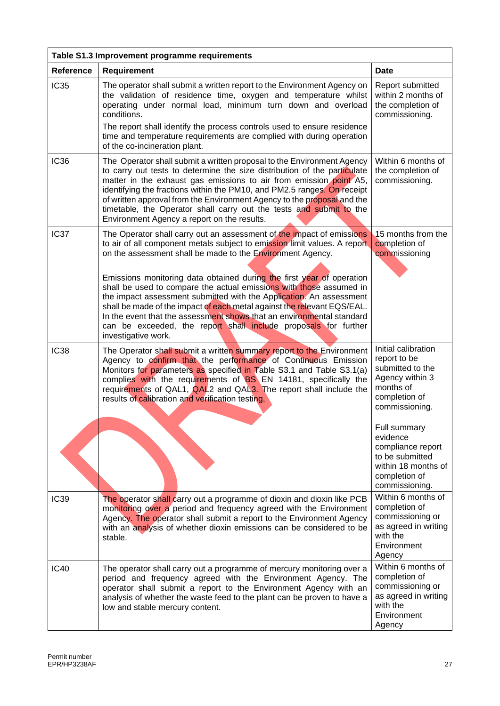| Table S1.3 Improvement programme requirements |                                                                                                                                                                                                                                                                                                                                                                                                                                                                                                                                                                                                                                                                                       |                                                                                                                                                                                                                                                          |
|-----------------------------------------------|---------------------------------------------------------------------------------------------------------------------------------------------------------------------------------------------------------------------------------------------------------------------------------------------------------------------------------------------------------------------------------------------------------------------------------------------------------------------------------------------------------------------------------------------------------------------------------------------------------------------------------------------------------------------------------------|----------------------------------------------------------------------------------------------------------------------------------------------------------------------------------------------------------------------------------------------------------|
| <b>Reference</b>                              | <b>Requirement</b>                                                                                                                                                                                                                                                                                                                                                                                                                                                                                                                                                                                                                                                                    | <b>Date</b>                                                                                                                                                                                                                                              |
| <b>IC35</b>                                   | The operator shall submit a written report to the Environment Agency on<br>the validation of residence time, oxygen and temperature whilst<br>operating under normal load, minimum turn down and overload<br>conditions.<br>The report shall identify the process controls used to ensure residence<br>time and temperature requirements are complied with during operation<br>of the co-incineration plant.                                                                                                                                                                                                                                                                          | Report submitted<br>within 2 months of<br>the completion of<br>commissioning.                                                                                                                                                                            |
| <b>IC36</b>                                   | The Operator shall submit a written proposal to the Environment Agency<br>to carry out tests to determine the size distribution of the particulate<br>matter in the exhaust gas emissions to air from emission point A5,<br>identifying the fractions within the PM10, and PM2.5 ranges. On receipt<br>of written approval from the Environment Agency to the proposal and the<br>timetable, the Operator shall carry out the tests and submit to the<br>Environment Agency a report on the results.                                                                                                                                                                                  | Within 6 months of<br>the completion of<br>commissioning.                                                                                                                                                                                                |
| IC <sub>37</sub>                              | The Operator shall carry out an assessment of the impact of emissions<br>to air of all component metals subject to emission limit values. A report<br>on the assessment shall be made to the Environment Agency.<br>Emissions monitoring data obtained during the first year of operation<br>shall be used to compare the actual emissions with those assumed in<br>the impact assessment submitted with the Application. An assessment<br>shall be made of the impact of each metal against the relevant EQS/EAL.<br>In the event that the assessment shows that an environmental standard<br>can be exceeded, the report shall include proposals for further<br>investigative work. | 15 months from the<br>completion of<br>commissioning                                                                                                                                                                                                     |
| <b>IC38</b>                                   | The Operator shall submit a written summary report to the Environment<br>Agency to confirm that the performance of Continuous Emission<br>Monitors for parameters as specified in Table S3.1 and Table S3.1(a)<br>complies with the requirements of BS EN 14181, specifically the<br>requirements of QAL1, QAL2 and QAL3. The report shall include the<br>results of calibration and verification testing,                                                                                                                                                                                                                                                                            | Initial calibration<br>report to be<br>submitted to the<br>Agency within 3<br>months of<br>completion of<br>commissioning.<br>Full summary<br>evidence<br>compliance report<br>to be submitted<br>within 18 months of<br>completion of<br>commissioning. |
| <b>IC39</b>                                   | The operator shall carry out a programme of dioxin and dioxin like PCB<br>monitoring over a period and frequency agreed with the Environment<br>Agency. The operator shall submit a report to the Environment Agency<br>with an analysis of whether dioxin emissions can be considered to be<br>stable.                                                                                                                                                                                                                                                                                                                                                                               | Within 6 months of<br>completion of<br>commissioning or<br>as agreed in writing<br>with the<br>Environment<br>Agency                                                                                                                                     |
| <b>IC40</b>                                   | The operator shall carry out a programme of mercury monitoring over a<br>period and frequency agreed with the Environment Agency. The<br>operator shall submit a report to the Environment Agency with an<br>analysis of whether the waste feed to the plant can be proven to have a<br>low and stable mercury content.                                                                                                                                                                                                                                                                                                                                                               | Within 6 months of<br>completion of<br>commissioning or<br>as agreed in writing<br>with the<br>Environment<br>Agency                                                                                                                                     |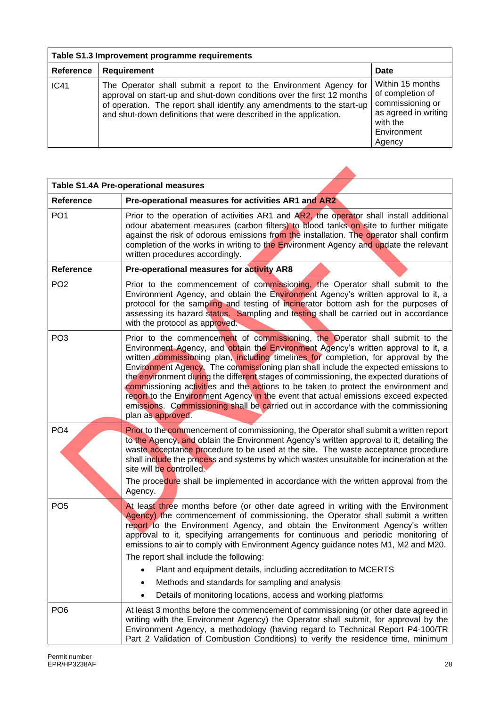| Table S1.3 Improvement programme requirements |                                                                                                                                                                                                                                                                                           |                                                                                                                       |
|-----------------------------------------------|-------------------------------------------------------------------------------------------------------------------------------------------------------------------------------------------------------------------------------------------------------------------------------------------|-----------------------------------------------------------------------------------------------------------------------|
| Reference                                     | Requirement                                                                                                                                                                                                                                                                               | Date                                                                                                                  |
| IC41                                          | The Operator shall submit a report to the Environment Agency for<br>approval on start-up and shut-down conditions over the first 12 months<br>of operation. The report shall identify any amendments to the start-up<br>and shut-down definitions that were described in the application. | Within 15 months<br>of completion of<br>commissioning or<br>as agreed in writing<br>with the<br>Environment<br>Agency |

 $\blacktriangle$ 

| <b>Table S1.4A Pre-operational measures</b> |                                                                                                                                                                                                                                                                                                                                                                                                                                                                                                                                                                                                                                                                                                                                    |
|---------------------------------------------|------------------------------------------------------------------------------------------------------------------------------------------------------------------------------------------------------------------------------------------------------------------------------------------------------------------------------------------------------------------------------------------------------------------------------------------------------------------------------------------------------------------------------------------------------------------------------------------------------------------------------------------------------------------------------------------------------------------------------------|
| <b>Reference</b>                            | Pre-operational measures for activities AR1 and AR2                                                                                                                                                                                                                                                                                                                                                                                                                                                                                                                                                                                                                                                                                |
| PO <sub>1</sub>                             | Prior to the operation of activities AR1 and AR2, the operator shall install additional<br>odour abatement measures (carbon filters) to blood tanks on site to further mitigate<br>against the risk of odorous emissions from the installation. The operator shall confirm<br>completion of the works in writing to the Environment Agency and update the relevant<br>written procedures accordingly.                                                                                                                                                                                                                                                                                                                              |
| <b>Reference</b>                            | Pre-operational measures for activity AR8                                                                                                                                                                                                                                                                                                                                                                                                                                                                                                                                                                                                                                                                                          |
| PO <sub>2</sub>                             | Prior to the commencement of commissioning, the Operator shall submit to the<br>Environment Agency, and obtain the Environment Agency's written approval to it, a<br>protocol for the sampling and testing of incinerator bottom ash for the purposes of<br>assessing its hazard status. Sampling and testing shall be carried out in accordance<br>with the protocol as approved.                                                                                                                                                                                                                                                                                                                                                 |
| PO <sub>3</sub>                             | Prior to the commencement of commissioning, the Operator shall submit to the<br>Environment Agency, and obtain the Environment Agency's written approval to it, a<br>written commissioning plan, including timelines for completion, for approval by the<br>Environment Agency. The commissioning plan shall include the expected emissions to<br>the environment during the different stages of commissioning, the expected durations of<br>commissioning activities and the actions to be taken to protect the environment and<br>report to the Environment Agency in the event that actual emissions exceed expected<br>emissions. Commissioning shall be carried out in accordance with the commissioning<br>plan as approved. |
| PO <sub>4</sub>                             | Prior to the commencement of commissioning, the Operator shall submit a written report<br>to the Agency, and obtain the Environment Agency's written approval to it, detailing the<br>waste acceptance procedure to be used at the site. The waste acceptance procedure<br>shall include the process and systems by which wastes unsuitable for incineration at the<br>site will be controlled.<br>The procedure shall be implemented in accordance with the written approval from the<br>Agency.                                                                                                                                                                                                                                  |
| PO <sub>5</sub>                             | At least three months before (or other date agreed in writing with the Environment<br>Agency) the commencement of commissioning, the Operator shall submit a written<br>report to the Environment Agency, and obtain the Environment Agency's written<br>approval to it, specifying arrangements for continuous and periodic monitoring of<br>emissions to air to comply with Environment Agency guidance notes M1, M2 and M20.<br>The report shall include the following:<br>Plant and equipment details, including accreditation to MCERTS<br>Methods and standards for sampling and analysis<br>Details of monitoring locations, access and working platforms                                                                   |
| PO <sub>6</sub>                             | At least 3 months before the commencement of commissioning (or other date agreed in<br>writing with the Environment Agency) the Operator shall submit, for approval by the<br>Environment Agency, a methodology (having regard to Technical Report P4-100/TR<br>Part 2 Validation of Combustion Conditions) to verify the residence time, minimum                                                                                                                                                                                                                                                                                                                                                                                  |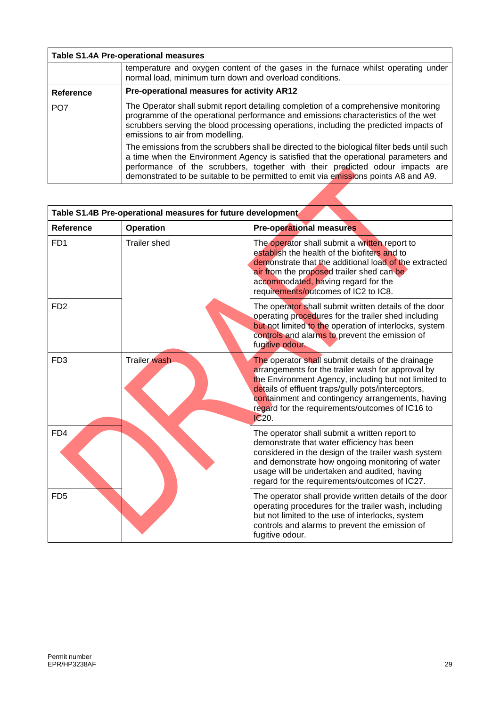|                 | <b>Table S1.4A Pre-operational measures</b>                                                                                                                                                                                                                                                                                                                |
|-----------------|------------------------------------------------------------------------------------------------------------------------------------------------------------------------------------------------------------------------------------------------------------------------------------------------------------------------------------------------------------|
|                 | temperature and oxygen content of the gases in the furnace whilst operating under<br>normal load, minimum turn down and overload conditions.                                                                                                                                                                                                               |
| Reference       | Pre-operational measures for activity AR12                                                                                                                                                                                                                                                                                                                 |
| PO <sub>7</sub> | The Operator shall submit report detailing completion of a comprehensive monitoring<br>programme of the operational performance and emissions characteristics of the wet<br>scrubbers serving the blood processing operations, including the predicted impacts of<br>emissions to air from modelling.                                                      |
|                 | The emissions from the scrubbers shall be directed to the biological filter beds until such<br>a time when the Environment Agency is satisfied that the operational parameters and<br>performance of the scrubbers, together with their predicted odour impacts are<br>demonstrated to be suitable to be permitted to emit via emissions points A8 and A9. |
|                 |                                                                                                                                                                                                                                                                                                                                                            |

| Table S1.4B Pre-operational measures for future development |                     |                                                                                                                                                                                                                                                                                                                                      |
|-------------------------------------------------------------|---------------------|--------------------------------------------------------------------------------------------------------------------------------------------------------------------------------------------------------------------------------------------------------------------------------------------------------------------------------------|
| <b>Reference</b>                                            | <b>Operation</b>    | <b>Pre-operational measures</b>                                                                                                                                                                                                                                                                                                      |
| FD <sub>1</sub>                                             | <b>Trailer shed</b> | The operator shall submit a written report to<br>establish the health of the biofiters and to<br>demonstrate that the additional load of the extracted<br>air from the proposed trailer shed can be<br>accommodated, having regard for the<br>requirements/outcomes of IC2 to IC8.                                                   |
| F <sub>D</sub> <sub>2</sub>                                 |                     | The operator shall submit written details of the door<br>operating procedures for the trailer shed including<br>but not limited to the operation of interlocks, system<br>controls and alarms to prevent the emission of<br>fugitive odour.                                                                                          |
| FD <sub>3</sub>                                             | <b>Trailer</b> wash | The operator shall submit details of the drainage<br>arrangements for the trailer wash for approval by<br>the Environment Agency, including but not limited to<br>details of effluent traps/gully pots/interceptors,<br>containment and contingency arrangements, having<br>regard for the requirements/outcomes of IC16 to<br>IC20. |
| FD4                                                         |                     | The operator shall submit a written report to<br>demonstrate that water efficiency has been<br>considered in the design of the trailer wash system<br>and demonstrate how ongoing monitoring of water<br>usage will be undertaken and audited, having<br>regard for the requirements/outcomes of IC27.                               |
| FD <sub>5</sub>                                             |                     | The operator shall provide written details of the door<br>operating procedures for the trailer wash, including<br>but not limited to the use of interlocks, system<br>controls and alarms to prevent the emission of<br>fugitive odour.                                                                                              |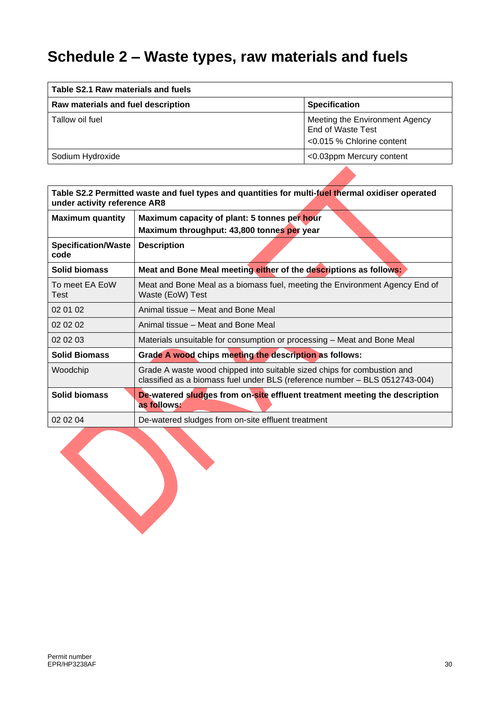# **Schedule 2 – Waste types, raw materials and fuels**

| Table S2.1 Raw materials and fuels |                                                                                     |  |
|------------------------------------|-------------------------------------------------------------------------------------|--|
| Raw materials and fuel description | <b>Specification</b>                                                                |  |
| Tallow oil fuel                    | Meeting the Environment Agency<br>End of Waste Test<br>$< 0.015$ % Chlorine content |  |
| Sodium Hydroxide                   | <0.03ppm Mercury content                                                            |  |

| Table S2.2 Permitted waste and fuel types and quantities for multi-fuel thermal oxidiser operated<br>under activity reference AR8 |                                                                                                                                                        |  |
|-----------------------------------------------------------------------------------------------------------------------------------|--------------------------------------------------------------------------------------------------------------------------------------------------------|--|
| <b>Maximum quantity</b>                                                                                                           | Maximum capacity of plant: 5 tonnes per hour<br>Maximum throughput: 43,800 tonnes per year                                                             |  |
| <b>Specification/Waste</b><br>code                                                                                                | <b>Description</b>                                                                                                                                     |  |
| <b>Solid biomass</b>                                                                                                              | Meat and Bone Meal meeting either of the descriptions as follows:                                                                                      |  |
| To meet EA EoW<br>Test                                                                                                            | Meat and Bone Meal as a biomass fuel, meeting the Environment Agency End of<br>Waste (EoW) Test                                                        |  |
| 02 01 02                                                                                                                          | Animal tissue - Meat and Bone Meal                                                                                                                     |  |
| 02 02 02                                                                                                                          | Animal tissue – Meat and Bone Meal                                                                                                                     |  |
| 02 02 03                                                                                                                          | Materials unsuitable for consumption or processing - Meat and Bone Meal                                                                                |  |
| <b>Solid Biomass</b>                                                                                                              | Grade A wood chips meeting the description as follows:                                                                                                 |  |
| Woodchip                                                                                                                          | Grade A waste wood chipped into suitable sized chips for combustion and<br>classified as a biomass fuel under BLS (reference number - BLS 0512743-004) |  |
| <b>Solid biomass</b>                                                                                                              | De-watered sludges from on-site effluent treatment meeting the description<br>as follows:                                                              |  |
| 02 02 04                                                                                                                          | De-watered sludges from on-site effluent treatment                                                                                                     |  |

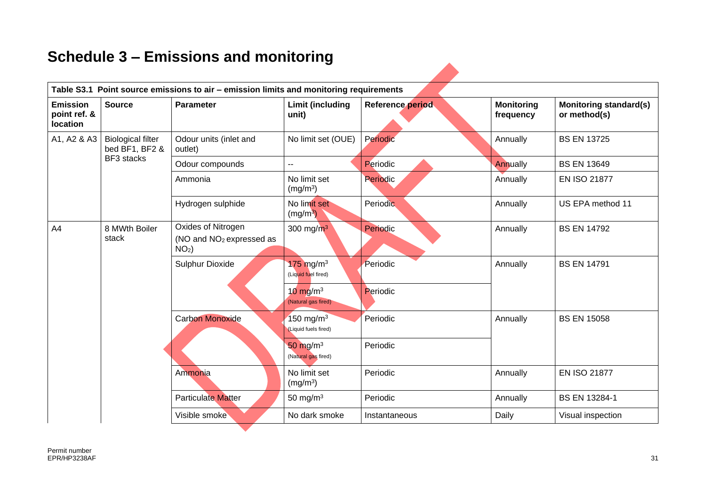# **Schedule 3 – Emissions and monitoring**

| <b>Emission</b><br>point ref. &<br>location | <b>Source</b><br><b>Parameter</b>          |                                                                       | <b>Limit (including</b><br>unit)            | Reference period | <b>Monitoring</b><br>frequency | <b>Monitoring standard(s)</b><br>or method(s) |
|---------------------------------------------|--------------------------------------------|-----------------------------------------------------------------------|---------------------------------------------|------------------|--------------------------------|-----------------------------------------------|
| A1, A2 & A3                                 | <b>Biological filter</b><br>bed BF1, BF2 & | Odour units (inlet and<br>outlet)                                     | No limit set (OUE)                          | Periodic         | Annually                       | <b>BS EN 13725</b>                            |
|                                             | BF3 stacks                                 | Odour compounds                                                       | $\overline{a}$                              | Periodic         | Annually                       | <b>BS EN 13649</b>                            |
|                                             | Ammonia                                    |                                                                       | No limit set<br>(mg/m <sup>3</sup> )        | <b>Periodic</b>  | Annually                       | <b>EN ISO 21877</b>                           |
|                                             |                                            | Hydrogen sulphide                                                     | No limit set<br>(mg/m <sup>3</sup> )        | <b>Periodic</b>  | Annually                       | US EPA method 11                              |
| A4                                          | 8 MWth Boiler<br>stack                     | Oxides of Nitrogen<br>(NO and NO <sub>2</sub> expressed as<br>$NO2$ ) | 300 mg/ $m^3$                               | Periodic         | Annually                       | <b>BS EN 14792</b>                            |
|                                             |                                            | Sulphur Dioxide                                                       | $175 \text{ mg/m}^3$<br>(Liquid fuel fired) | Periodic         | Annually                       | <b>BS EN 14791</b>                            |
|                                             |                                            |                                                                       | $10 \text{ mg/m}^3$<br>(Natural gas fired)  | Periodic         |                                |                                               |
|                                             |                                            | <b>Carbon Monoxide</b>                                                | 150 mg/m $3$<br>(Liquid fuels fired)        | Periodic         | Annually                       | <b>BS EN 15058</b>                            |
|                                             |                                            |                                                                       | $50 \text{ mg/m}^3$<br>(Natural gas fired)  | Periodic         |                                |                                               |
|                                             |                                            | Ammonia                                                               | No limit set<br>(mg/m <sup>3</sup> )        | Periodic         | Annually                       | <b>EN ISO 21877</b>                           |
|                                             |                                            | <b>Particulate Matter</b>                                             | 50 mg/ $m3$                                 | Periodic         | Annually                       | <b>BS EN 13284-1</b>                          |
|                                             |                                            | Visible smoke                                                         | No dark smoke                               | Instantaneous    | Daily                          | Visual inspection                             |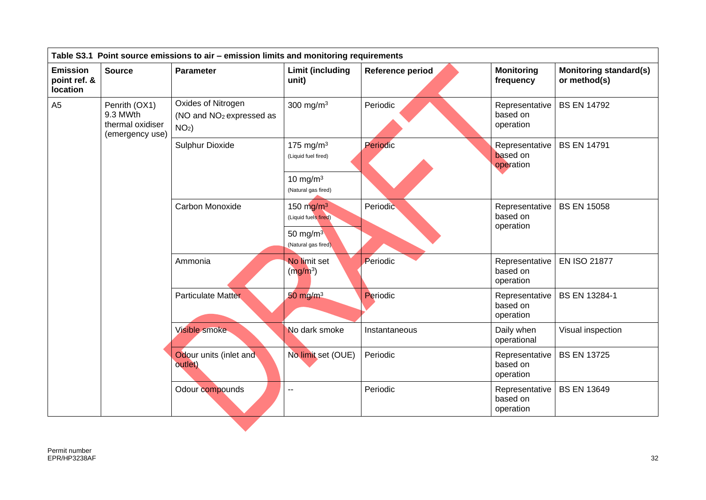| <b>Emission</b><br><b>Source</b><br><b>Parameter</b><br>point ref. &<br>location<br>Oxides of Nitrogen<br>A <sub>5</sub><br>Penrith (OX1)<br>9.3 MWth<br>(NO and NO <sub>2</sub> expressed as<br>thermal oxidiser<br>$NO2$ )<br>(emergency use) | <b>Limit (including</b><br>unit)<br>300 mg/m $3$                                                 | Reference period<br>Periodic | <b>Monitoring</b><br>frequency<br>Representative<br>based on | <b>Monitoring standard(s)</b><br>or method(s)<br><b>BS EN 14792</b> |
|-------------------------------------------------------------------------------------------------------------------------------------------------------------------------------------------------------------------------------------------------|--------------------------------------------------------------------------------------------------|------------------------------|--------------------------------------------------------------|---------------------------------------------------------------------|
|                                                                                                                                                                                                                                                 |                                                                                                  |                              |                                                              |                                                                     |
|                                                                                                                                                                                                                                                 |                                                                                                  |                              | operation                                                    |                                                                     |
| <b>Sulphur Dioxide</b>                                                                                                                                                                                                                          | 175 mg/m $3$<br>(Liquid fuel fired)<br>10 mg/m $3$                                               | Periodic                     | Representative<br>based on<br>operation                      | <b>BS EN 14791</b>                                                  |
| Carbon Monoxide                                                                                                                                                                                                                                 | (Natural gas fired)<br>150 $mg/m3$<br>(Liquid fuels fired)<br>50 mg/m $3$<br>(Natural gas fired) | Periodic                     | Representative<br>based on<br>operation                      | <b>BS EN 15058</b>                                                  |
| Ammonia                                                                                                                                                                                                                                         | No limit set<br>(mg/m <sup>3</sup> )                                                             | Periodic                     | Representative<br>based on<br>operation                      | <b>EN ISO 21877</b>                                                 |
| <b>Particulate Matter</b>                                                                                                                                                                                                                       | $50 \text{ mg/m}^3$                                                                              | Periodic                     | Representative<br>based on<br>operation                      | <b>BS EN 13284-1</b>                                                |
| Visible smoke                                                                                                                                                                                                                                   | No dark smoke                                                                                    | Instantaneous                | Daily when<br>operational                                    | Visual inspection                                                   |
| Odour units (inlet and<br>outlet)                                                                                                                                                                                                               | No limit set (OUE)                                                                               | Periodic                     | Representative<br>based on<br>operation                      | <b>BS EN 13725</b>                                                  |
| Odour compounds                                                                                                                                                                                                                                 | $\overline{\phantom{a}}$                                                                         | Periodic                     | Representative<br>based on<br>operation                      | <b>BS EN 13649</b>                                                  |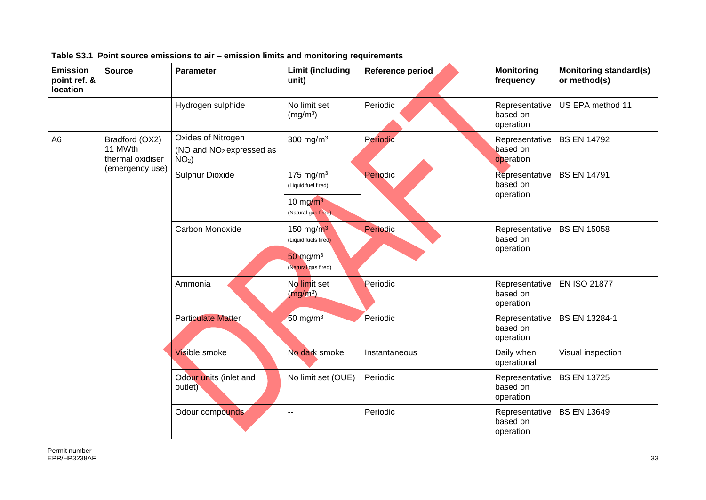| Table S3.1 Point source emissions to air - emission limits and monitoring requirements |                                               |                                                                       |                                                                                     |                  |                                         |                                               |  |  |
|----------------------------------------------------------------------------------------|-----------------------------------------------|-----------------------------------------------------------------------|-------------------------------------------------------------------------------------|------------------|-----------------------------------------|-----------------------------------------------|--|--|
| <b>Emission</b><br>point ref. &<br>location                                            | <b>Source</b>                                 | Parameter                                                             | <b>Limit (including</b><br>unit)                                                    | Reference period | <b>Monitoring</b><br>frequency          | <b>Monitoring standard(s)</b><br>or method(s) |  |  |
|                                                                                        |                                               | Hydrogen sulphide                                                     | No limit set<br>(mg/m <sup>3</sup> )                                                | Periodic         | Representative<br>based on<br>operation | US EPA method 11                              |  |  |
| A <sub>6</sub>                                                                         | Bradford (OX2)<br>11 MWth<br>thermal oxidiser | Oxides of Nitrogen<br>(NO and NO <sub>2</sub> expressed as<br>$NO2$ ) | 300 mg/m $3$                                                                        | Periodic         | Representative<br>based on<br>operation | <b>BS EN 14792</b>                            |  |  |
|                                                                                        | (emergency use)                               | Sulphur Dioxide                                                       | 175 mg/m $3$<br>(Liquid fuel fired)<br>10 mg/ $m^3$<br>(Natural gas fired)          | Periodic         | Representative<br>based on<br>operation | <b>BS EN 14791</b>                            |  |  |
|                                                                                        |                                               | Carbon Monoxide                                                       | 150 mg/ $m^3$<br>(Liquid fuels fired)<br>$50 \text{ mg/m}^3$<br>(Natural gas fired) | Periodic         | Representative<br>based on<br>operation | <b>BS EN 15058</b>                            |  |  |
|                                                                                        |                                               | Ammonia                                                               | No limit set<br>$(mg/m^3)$                                                          | Periodic         | Representative<br>based on<br>operation | <b>EN ISO 21877</b>                           |  |  |
|                                                                                        |                                               | <b>Particulate Matter</b>                                             | 50 mg/m $3$                                                                         | Periodic         | Representative<br>based on<br>operation | <b>BS EN 13284-1</b>                          |  |  |
|                                                                                        |                                               | Visible smoke                                                         | No dark smoke                                                                       | Instantaneous    | Daily when<br>operational               | Visual inspection                             |  |  |
|                                                                                        |                                               | Odour units (inlet and<br>outlet)                                     | No limit set (OUE)                                                                  | Periodic         | Representative<br>based on<br>operation | <b>BS EN 13725</b>                            |  |  |
|                                                                                        |                                               | Odour compounds                                                       | $\overline{\phantom{a}}$                                                            | Periodic         | Representative<br>based on<br>operation | <b>BS EN 13649</b>                            |  |  |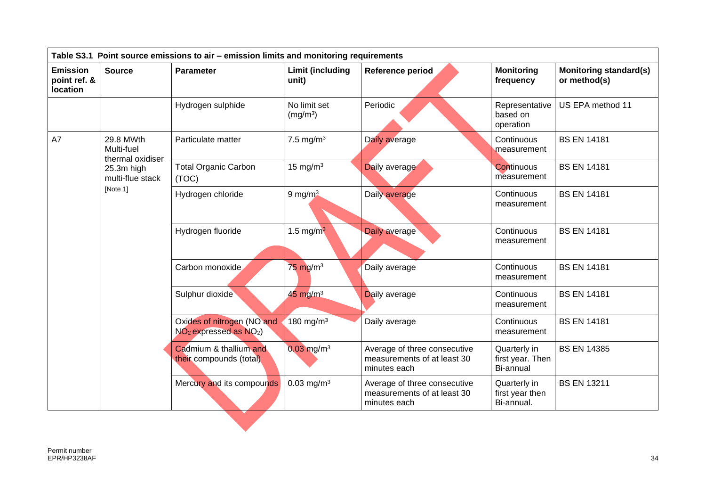| <b>Emission</b><br>point ref. &<br>location                                                     | <b>Source</b> | <b>Parameter</b>                                         | <b>Limit (including</b><br>unit)     | Reference period                                                            | <b>Monitoring</b><br>frequency                | <b>Monitoring standard(s)</b><br>or method(s) |
|-------------------------------------------------------------------------------------------------|---------------|----------------------------------------------------------|--------------------------------------|-----------------------------------------------------------------------------|-----------------------------------------------|-----------------------------------------------|
|                                                                                                 |               | Hydrogen sulphide                                        | No limit set<br>(mg/m <sup>3</sup> ) | Periodic                                                                    | Representative<br>based on<br>operation       | US EPA method 11                              |
| 29.8 MWth<br>A7<br>Multi-fuel<br>thermal oxidiser<br>25.3m high<br>multi-flue stack<br>[Note 1] |               | Particulate matter                                       | 7.5 mg/m $3$                         | Daily average                                                               | Continuous<br>measurement                     | <b>BS EN 14181</b>                            |
|                                                                                                 |               | <b>Total Organic Carbon</b><br>(TOC)                     | 15 mg/m $3$                          | Daily average                                                               | Continuous<br>measurement                     | <b>BS EN 14181</b>                            |
|                                                                                                 |               | Hydrogen chloride                                        | 9 mg/ $m3$                           | Daily average                                                               | Continuous<br>measurement                     | <b>BS EN 14181</b>                            |
|                                                                                                 |               | Hydrogen fluoride                                        | 1.5 mg/m $3$                         | Daily average                                                               | Continuous<br>measurement                     | <b>BS EN 14181</b>                            |
|                                                                                                 |               | Carbon monoxide                                          | $75 \text{ mg/m}^3$                  | Daily average                                                               | Continuous<br>measurement                     | <b>BS EN 14181</b>                            |
|                                                                                                 |               | Sulphur dioxide                                          | $45 \text{ mg/m}^3$                  | Daily average                                                               | Continuous<br>measurement                     | <b>BS EN 14181</b>                            |
|                                                                                                 |               | Oxides of nitrogen (NO and<br>$NO2$ expressed as $NO2$ ) | 180 mg/m $3$                         | Daily average                                                               | Continuous<br>measurement                     | <b>BS EN 14181</b>                            |
|                                                                                                 |               | Cadmium & thallium and<br>their compounds (total)        | $0.03$ mg/m <sup>3</sup>             | Average of three consecutive<br>measurements of at least 30<br>minutes each | Quarterly in<br>first year. Then<br>Bi-annual | <b>BS EN 14385</b>                            |
|                                                                                                 |               | Mercury and its compounds                                | $0.03$ mg/m <sup>3</sup>             | Average of three consecutive<br>measurements of at least 30<br>minutes each | Quarterly in<br>first year then<br>Bi-annual. | <b>BS EN 13211</b>                            |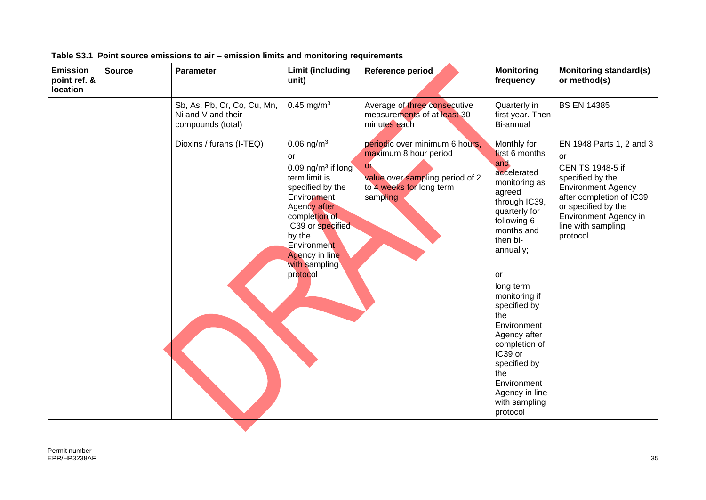|                                             | Table S3.1 Point source emissions to air - emission limits and monitoring requirements |                                                                        |                                                                                                                                                                                                                                                  |                                                                                                                                                      |                                                                                                                                                                                                                                                                                                                                                                                   |                                                                                                                                                                                                                   |  |  |  |
|---------------------------------------------|----------------------------------------------------------------------------------------|------------------------------------------------------------------------|--------------------------------------------------------------------------------------------------------------------------------------------------------------------------------------------------------------------------------------------------|------------------------------------------------------------------------------------------------------------------------------------------------------|-----------------------------------------------------------------------------------------------------------------------------------------------------------------------------------------------------------------------------------------------------------------------------------------------------------------------------------------------------------------------------------|-------------------------------------------------------------------------------------------------------------------------------------------------------------------------------------------------------------------|--|--|--|
| <b>Emission</b><br>point ref. &<br>location | <b>Source</b>                                                                          | <b>Parameter</b>                                                       | <b>Limit (including</b><br>unit)                                                                                                                                                                                                                 | Reference period                                                                                                                                     | <b>Monitoring</b><br>frequency                                                                                                                                                                                                                                                                                                                                                    | <b>Monitoring standard(s)</b><br>or method(s)                                                                                                                                                                     |  |  |  |
|                                             |                                                                                        | Sb, As, Pb, Cr, Co, Cu, Mn,<br>Ni and V and their<br>compounds (total) | $0.45$ mg/m <sup>3</sup>                                                                                                                                                                                                                         | Average of three consecutive<br>measurements of at least 30<br>minutes each                                                                          | Quarterly in<br>first year. Then<br><b>Bi-annual</b>                                                                                                                                                                                                                                                                                                                              | <b>BS EN 14385</b>                                                                                                                                                                                                |  |  |  |
|                                             |                                                                                        | Dioxins / furans (I-TEQ)                                               | $0.06$ ng/m <sup>3</sup><br>or<br>0.09 ng/ $m3$ if long<br>term limit is<br>specified by the<br>Environment<br>Agency after<br>completion of<br>IC39 or specified<br>by the<br>Environment<br><b>Agency in line</b><br>with sampling<br>protocol | periodic over minimum 6 hours,<br>maximum 8 hour period<br>O <sub>L</sub><br>value over sampling period of 2<br>to 4 weeks for long term<br>sampling | Monthly for<br>first 6 months<br>and<br>accelerated<br>monitoring as<br>agreed<br>through IC39,<br>quarterly for<br>following 6<br>months and<br>then bi-<br>annually;<br>or<br>long term<br>monitoring if<br>specified by<br>the<br>Environment<br>Agency after<br>completion of<br>IC39 or<br>specified by<br>the<br>Environment<br>Agency in line<br>with sampling<br>protocol | EN 1948 Parts 1, 2 and 3<br>or<br>CEN TS 1948-5 if<br>specified by the<br><b>Environment Agency</b><br>after completion of IC39<br>or specified by the<br>Environment Agency in<br>line with sampling<br>protocol |  |  |  |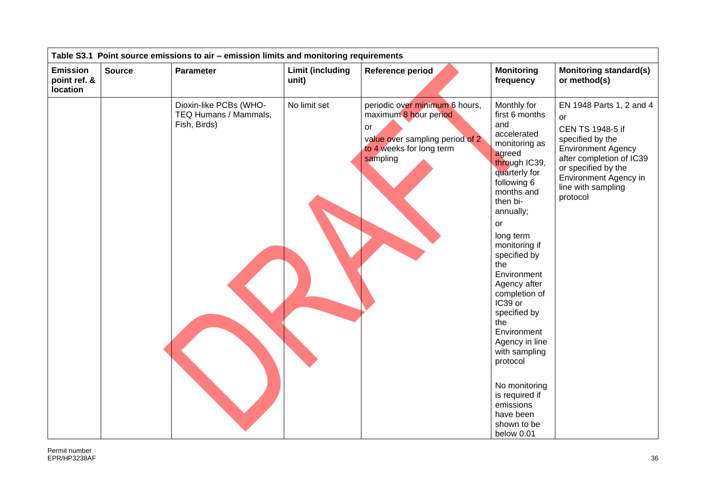|                                             | Table S3.1 Point source emissions to air - emission limits and monitoring requirements |                                                                 |                           |                                                                                                                                          |                                                                                                                                                                                                                                                                                                                                                                                                                                                                             |                                                                                                                                                                                                                   |  |  |  |  |
|---------------------------------------------|----------------------------------------------------------------------------------------|-----------------------------------------------------------------|---------------------------|------------------------------------------------------------------------------------------------------------------------------------------|-----------------------------------------------------------------------------------------------------------------------------------------------------------------------------------------------------------------------------------------------------------------------------------------------------------------------------------------------------------------------------------------------------------------------------------------------------------------------------|-------------------------------------------------------------------------------------------------------------------------------------------------------------------------------------------------------------------|--|--|--|--|
| <b>Emission</b><br>point ref. &<br>location | <b>Source</b>                                                                          | <b>Parameter</b>                                                | Limit (including<br>unit) | Reference period                                                                                                                         | <b>Monitoring</b><br>frequency                                                                                                                                                                                                                                                                                                                                                                                                                                              | <b>Monitoring standard(s)</b><br>or method(s)                                                                                                                                                                     |  |  |  |  |
|                                             |                                                                                        | Dioxin-like PCBs (WHO-<br>TEQ Humans / Mammals,<br>Fish, Birds) | No limit set              | periodic over minimum 6 hours,<br>maximum 8 hour period<br>or<br>value over sampling period of 2<br>to 4 weeks for long term<br>sampling | Monthly for<br>first 6 months<br>and<br>accelerated<br>monitoring as<br>agreed<br>through IC39,<br>quarterly for<br>following 6<br>months and<br>then bi-<br>annually;<br>or<br>long term<br>monitoring if<br>specified by<br>the<br>Environment<br>Agency after<br>completion of<br>IC39 or<br>specified by<br>the<br>Environment<br>Agency in line<br>with sampling<br>protocol<br>No monitoring<br>is required if<br>emissions<br>have been<br>shown to be<br>below 0.01 | EN 1948 Parts 1, 2 and 4<br>or<br>CEN TS 1948-5 if<br>specified by the<br><b>Environment Agency</b><br>after completion of IC39<br>or specified by the<br>Environment Agency in<br>line with sampling<br>protocol |  |  |  |  |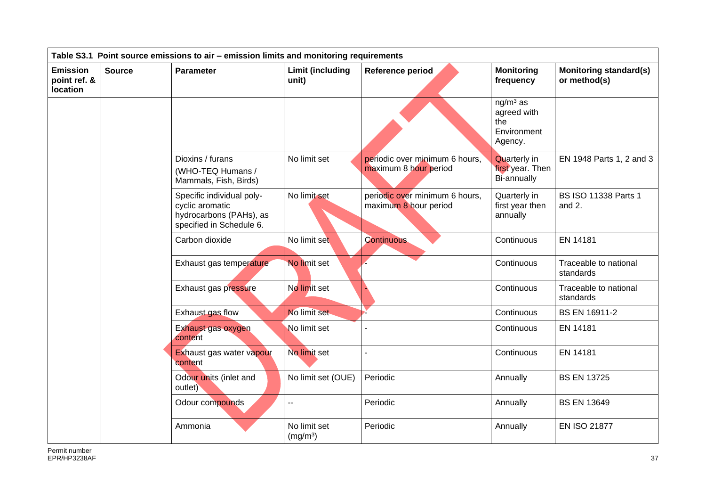| Table S3.1 Point source emissions to air - emission limits and monitoring requirements |                                           |                                                                                                     |                                      |                                                         |                                                            |                                               |  |  |
|----------------------------------------------------------------------------------------|-------------------------------------------|-----------------------------------------------------------------------------------------------------|--------------------------------------|---------------------------------------------------------|------------------------------------------------------------|-----------------------------------------------|--|--|
| <b>Emission</b><br>point ref. &<br>location                                            | <b>Source</b>                             | <b>Parameter</b>                                                                                    | <b>Limit (including</b><br>unit)     | Reference period                                        | <b>Monitoring</b><br>frequency                             | <b>Monitoring standard(s)</b><br>or method(s) |  |  |
|                                                                                        |                                           |                                                                                                     |                                      |                                                         | $ng/m3$ as<br>agreed with<br>the<br>Environment<br>Agency. |                                               |  |  |
|                                                                                        |                                           | Dioxins / furans<br>(WHO-TEQ Humans /<br>Mammals, Fish, Birds)                                      | No limit set                         | periodic over minimum 6 hours,<br>maximum 8 hour period | <b>Quarterly in</b><br>first year. Then<br>Bi-annually     | EN 1948 Parts 1, 2 and 3                      |  |  |
|                                                                                        |                                           | Specific individual poly-<br>cyclic aromatic<br>hydrocarbons (PAHs), as<br>specified in Schedule 6. | No limit set                         | periodic over minimum 6 hours,<br>maximum 8 hour period | Quarterly in<br>first year then<br>annually                | <b>BS ISO 11338 Parts 1</b><br>and 2.         |  |  |
|                                                                                        | Carbon dioxide<br>Exhaust gas temperature |                                                                                                     | No limit set                         | <b>Continuous</b>                                       | Continuous                                                 | EN 14181                                      |  |  |
|                                                                                        |                                           |                                                                                                     | No limit set                         |                                                         | Continuous                                                 | Traceable to national<br>standards            |  |  |
|                                                                                        |                                           | Exhaust gas pressure                                                                                | No limit set                         |                                                         | Continuous                                                 | Traceable to national<br>standards            |  |  |
|                                                                                        |                                           | Exhaust gas flow                                                                                    | No limit set                         |                                                         | Continuous                                                 | <b>BS EN 16911-2</b>                          |  |  |
|                                                                                        |                                           | Exhaust gas oxygen<br>content                                                                       | No limit set                         |                                                         | Continuous                                                 | EN 14181                                      |  |  |
|                                                                                        |                                           | Exhaust gas water vapour<br>content                                                                 | No limit set                         | L.                                                      | Continuous                                                 | EN 14181                                      |  |  |
|                                                                                        |                                           | Odour units (inlet and<br>outlet)                                                                   | No limit set (OUE)                   | Periodic                                                | Annually                                                   | <b>BS EN 13725</b>                            |  |  |
|                                                                                        |                                           | Odour compounds                                                                                     | --                                   | Periodic                                                | Annually                                                   | <b>BS EN 13649</b>                            |  |  |
|                                                                                        |                                           | Ammonia                                                                                             | No limit set<br>(mg/m <sup>3</sup> ) | Periodic                                                | Annually                                                   | <b>EN ISO 21877</b>                           |  |  |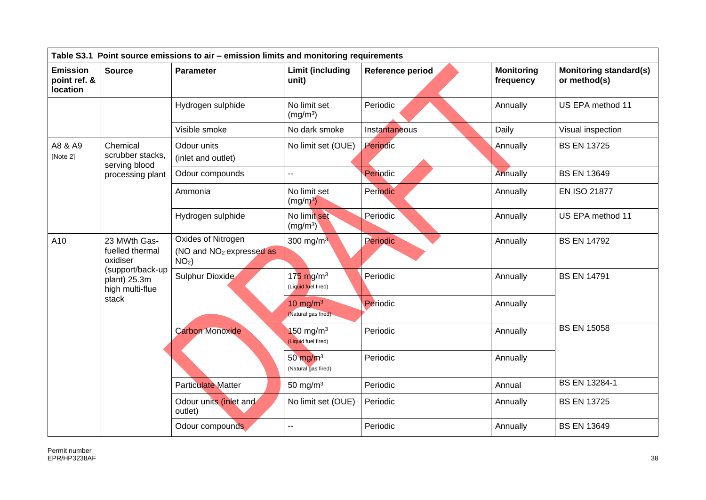| Table S3.1 Point source emissions to air - emission limits and monitoring requirements |                                                                                                             |                                                                       |                                                |                  |                                |                                               |  |  |
|----------------------------------------------------------------------------------------|-------------------------------------------------------------------------------------------------------------|-----------------------------------------------------------------------|------------------------------------------------|------------------|--------------------------------|-----------------------------------------------|--|--|
| <b>Emission</b><br>point ref. &<br><b>location</b>                                     | <b>Source</b>                                                                                               | <b>Parameter</b>                                                      | <b>Limit (including</b><br>unit)               | Reference period | <b>Monitoring</b><br>frequency | <b>Monitoring standard(s)</b><br>or method(s) |  |  |
|                                                                                        |                                                                                                             | Hydrogen sulphide                                                     | No limit set<br>(mg/m <sup>3</sup> )           | Periodic         | Annually                       | US EPA method 11                              |  |  |
|                                                                                        |                                                                                                             | Visible smoke                                                         | No dark smoke                                  | Instantaneous    | Daily                          | Visual inspection                             |  |  |
| A8 & A9<br>Chemical<br>[Note 2]<br>serving blood                                       | scrubber stacks,                                                                                            | Odour units<br>(inlet and outlet)                                     | No limit set (OUE)                             | Periodic         | Annually                       | <b>BS EN 13725</b>                            |  |  |
|                                                                                        | processing plant                                                                                            | Odour compounds                                                       | --                                             | Periodic         | Annually                       | <b>BS EN 13649</b>                            |  |  |
|                                                                                        |                                                                                                             | Ammonia                                                               | No limit set<br>$(mg/m^3)$                     | Periodic         | Annually                       | <b>EN ISO 21877</b>                           |  |  |
|                                                                                        |                                                                                                             | Hydrogen sulphide                                                     | No limit set<br>(mg/m <sup>3</sup> )           | Periodic         | Annually                       | US EPA method 11                              |  |  |
| A10                                                                                    | 23 MWth Gas-<br>fuelled thermal<br>oxidiser<br>(support/back-up<br>plant) 25.3m<br>high multi-flue<br>stack | Oxides of Nitrogen<br>(NO and NO <sub>2</sub> expressed as<br>$NO2$ ) | 300 mg/m $3$                                   | Periodic         | Annually                       | <b>BS EN 14792</b>                            |  |  |
|                                                                                        |                                                                                                             | Sulphur Dioxide                                                       | $175$ mg/m <sup>3</sup><br>(Liguid fuel fired) | Periodic         | Annually                       | <b>BS EN 14791</b>                            |  |  |
|                                                                                        |                                                                                                             |                                                                       | 10 mg/m $3$<br>(Natural gas fired)             | Periodic         | Annually                       |                                               |  |  |
|                                                                                        |                                                                                                             | <b>Carbon Monoxide</b>                                                | 150 mg/m $3$<br>(Liquid fuel fired)            | Periodic         | Annually                       | <b>BS EN 15058</b>                            |  |  |
|                                                                                        |                                                                                                             | 50 $mg/m3$<br>(Natural gas fired)                                     | Periodic                                       | Annually         |                                |                                               |  |  |
|                                                                                        |                                                                                                             | <b>Particulate Matter</b>                                             | 50 mg/m $3$                                    | Periodic         | Annual                         | BS EN 13284-1                                 |  |  |
|                                                                                        |                                                                                                             | Odour units (inlet and<br>outlet)                                     | No limit set (OUE)                             | Periodic         | Annually                       | <b>BS EN 13725</b>                            |  |  |
|                                                                                        |                                                                                                             | Odour compounds                                                       | $\overline{a}$                                 | Periodic         | Annually                       | <b>BS EN 13649</b>                            |  |  |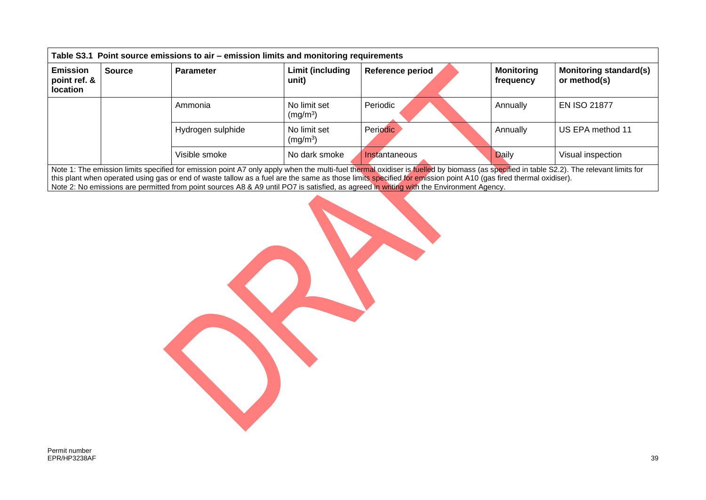| <b>Emission</b><br>point ref. &<br><b>location</b> | <b>Source</b> | <b>Parameter</b>  | Limit (including<br>unit)            | <b>Reference period</b> | <b>Monitoring</b><br>frequency | <b>Monitoring standard(s)</b><br>or method(s) |
|----------------------------------------------------|---------------|-------------------|--------------------------------------|-------------------------|--------------------------------|-----------------------------------------------|
|                                                    |               | Ammonia           | No limit set<br>(mg/m <sup>3</sup> ) | Periodic                | Annually                       | <b>EN ISO 21877</b>                           |
|                                                    |               | Hydrogen sulphide | No limit set<br>(mg/m <sup>3</sup> ) | Periodic                | Annually                       | US EPA method 11                              |
|                                                    |               | Visible smoke     | No dark smoke                        | Instantaneous           | <b>Daily</b>                   | Visual inspection                             |

Note 2: No emissions are permitted from point sources A8 & A9 until PO7 is satisfied, as agreed in writing with the Environment Agency.

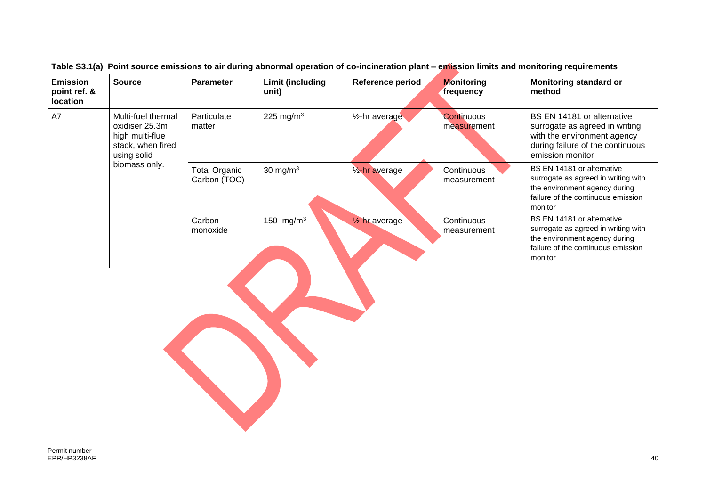|                                                    | Table S3.1(a) Point source emissions to air during abnormal operation of co-incineration plant – emission limits and monitoring requirements |                                      |                           |                             |                                |                                                                                                                                                     |  |  |  |  |
|----------------------------------------------------|----------------------------------------------------------------------------------------------------------------------------------------------|--------------------------------------|---------------------------|-----------------------------|--------------------------------|-----------------------------------------------------------------------------------------------------------------------------------------------------|--|--|--|--|
| <b>Emission</b><br>point ref. &<br><b>location</b> | <b>Source</b>                                                                                                                                | <b>Parameter</b>                     | Limit (including<br>unit) | Reference period            | <b>Monitoring</b><br>frequency | <b>Monitoring standard or</b><br>method                                                                                                             |  |  |  |  |
| A7                                                 | Multi-fuel thermal<br>oxidiser 25.3m<br>high multi-flue<br>stack, when fired<br>using solid<br>biomass only.                                 | Particulate<br>matter                | 225 mg/m <sup>3</sup>     | 1/ <sub>2</sub> -hr average | Continuous<br>measurement      | BS EN 14181 or alternative<br>surrogate as agreed in writing<br>with the environment agency<br>during failure of the continuous<br>emission monitor |  |  |  |  |
|                                                    |                                                                                                                                              | <b>Total Organic</b><br>Carbon (TOC) | 30 mg/ $m3$               | 1/ <sub>2</sub> -hr average | Continuous<br>measurement      | BS EN 14181 or alternative<br>surrogate as agreed in writing with<br>the environment agency during<br>failure of the continuous emission<br>monitor |  |  |  |  |
|                                                    |                                                                                                                                              | Carbon<br>monoxide                   | 150 mg/m <sup>3</sup>     | $\frac{1}{2}$ -hr average   | Continuous<br>measurement      | BS EN 14181 or alternative<br>surrogate as agreed in writing with<br>the environment agency during<br>failure of the continuous emission<br>monitor |  |  |  |  |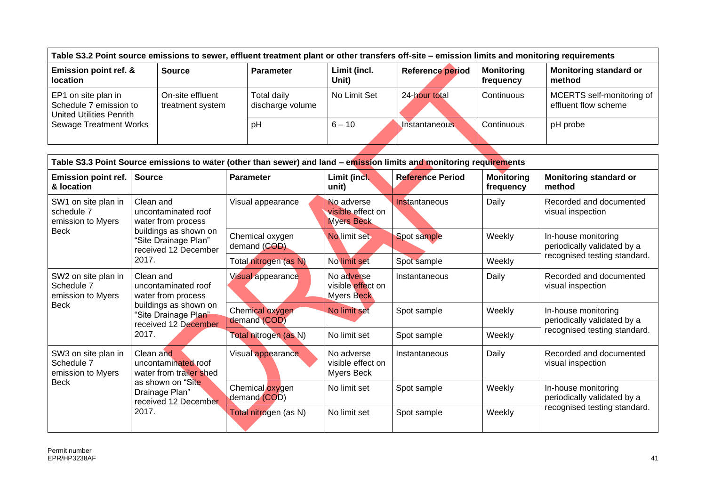| Table S3.2 Point source emissions to sewer, effluent treatment plant or other transfers off-site – emission limits and monitoring requirements |                                      |                                 |                       |                      |                                |                                                   |  |  |
|------------------------------------------------------------------------------------------------------------------------------------------------|--------------------------------------|---------------------------------|-----------------------|----------------------|--------------------------------|---------------------------------------------------|--|--|
| <b>Emission point ref. &amp;</b><br><b>location</b>                                                                                            | <b>Source</b>                        | <b>Parameter</b>                | Limit (incl.<br>Unit) | Reference period     | <b>Monitoring</b><br>frequency | Monitoring standard or<br>l method                |  |  |
| EP1 on site plan in<br>Schedule 7 emission to<br><b>United Utilities Penrith</b><br><b>Sewage Treatment Works</b>                              | On-site effluent<br>treatment system | Total daily<br>discharge volume | No Limit Set          | 24-hour total        | Continuous                     | MCERTS self-monitoring of<br>effluent flow scheme |  |  |
|                                                                                                                                                |                                      | pH                              | $6 - 10$              | <b>Instantaneous</b> | Continuous                     | pH probe                                          |  |  |
|                                                                                                                                                |                                      |                                 |                       |                      |                                |                                                   |  |  |

| Table S3.3 Point Source emissions to water (other than sewer) and land - emission limits and monitoring requirements |                                                                                                                                          |                                 |                                                      |                         |                                |                                                                                    |  |  |  |
|----------------------------------------------------------------------------------------------------------------------|------------------------------------------------------------------------------------------------------------------------------------------|---------------------------------|------------------------------------------------------|-------------------------|--------------------------------|------------------------------------------------------------------------------------|--|--|--|
| <b>Emission point ref.</b><br>& location                                                                             | <b>Source</b>                                                                                                                            | <b>Parameter</b>                | Limit (incl.<br>unit)                                | <b>Reference Period</b> | <b>Monitoring</b><br>frequency | <b>Monitoring standard or</b><br>method                                            |  |  |  |
| SW1 on site plan in<br>schedule 7<br>emission to Myers<br><b>Beck</b>                                                | Clean and<br>uncontaminated roof<br>water from process<br>buildings as shown on<br>"Site Drainage Plan"<br>received 12 December<br>2017. | Visual appearance               | No adverse<br>visible effect on<br><b>Myers Beck</b> | Instantaneous           | Daily                          | Recorded and documented<br>visual inspection                                       |  |  |  |
|                                                                                                                      |                                                                                                                                          | Chemical oxygen<br>demand (COD) | No limit set                                         | Spot sample             | Weekly                         | In-house monitoring<br>periodically validated by a<br>recognised testing standard. |  |  |  |
|                                                                                                                      |                                                                                                                                          | Total nitrogen (as N)           | No limit set                                         | Spot sample             | Weekly                         |                                                                                    |  |  |  |
| SW2 on site plan in<br>Schedule 7<br>emission to Myers                                                               | Clean and<br>uncontaminated roof<br>water from process<br>buildings as shown on<br>"Site Drainage Plan"<br>received 12 December<br>2017. | <b>Visual appearance</b>        | No adverse<br>visible effect on<br><b>Myers Beck</b> | Instantaneous           | Daily                          | Recorded and documented<br>visual inspection                                       |  |  |  |
| <b>Beck</b>                                                                                                          |                                                                                                                                          | Chemical oxygen<br>demand (COD) | No limit set                                         | Spot sample             | Weekly                         | In-house monitoring<br>periodically validated by a<br>recognised testing standard. |  |  |  |
|                                                                                                                      |                                                                                                                                          | Total nitrogen (as N)           | No limit set                                         | Spot sample             | Weekly                         |                                                                                    |  |  |  |
| SW3 on site plan in<br>Schedule 7<br>emission to Myers<br><b>Beck</b>                                                | Clean and<br>uncontaminated roof<br>water from trailer shed                                                                              | Visual appearance               | No adverse<br>visible effect on<br>Myers Beck        | Instantaneous           | Daily                          | Recorded and documented<br>visual inspection                                       |  |  |  |
|                                                                                                                      | as shown on "Site"<br>Drainage Plan"<br>received 12 December                                                                             | Chemical oxygen<br>demand (COD) | No limit set                                         | Spot sample             | Weekly                         | In-house monitoring<br>periodically validated by a<br>recognised testing standard. |  |  |  |
|                                                                                                                      | 2017.                                                                                                                                    | Total nitrogen (as N)           | No limit set                                         | Spot sample             | Weekly                         |                                                                                    |  |  |  |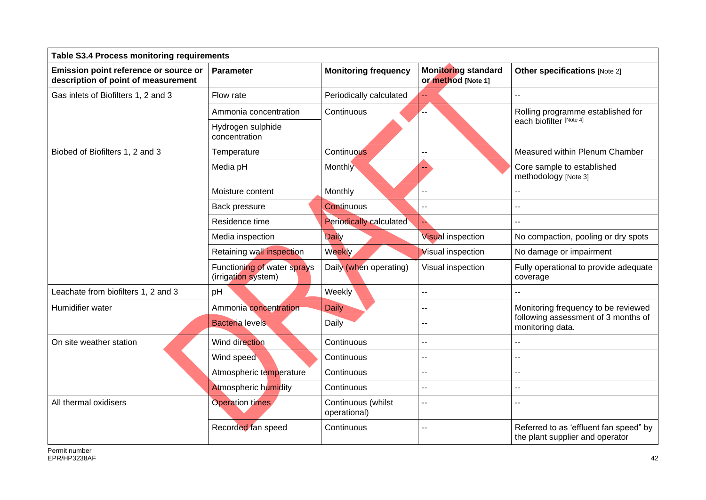| <b>Table S3.4 Process monitoring requirements</b>                            |                                                    |                                    |                                                  |                                                                           |
|------------------------------------------------------------------------------|----------------------------------------------------|------------------------------------|--------------------------------------------------|---------------------------------------------------------------------------|
| Emission point reference or source or<br>description of point of measurement | Parameter                                          | <b>Monitoring frequency</b>        | <b>Monitoring standard</b><br>or method [Note 1] | <b>Other specifications [Note 2]</b>                                      |
| Gas inlets of Biofilters 1, 2 and 3                                          | Flow rate                                          | Periodically calculated            |                                                  | $-$                                                                       |
|                                                                              | Ammonia concentration                              | Continuous                         | Ω.                                               | Rolling programme established for                                         |
|                                                                              | Hydrogen sulphide<br>concentration                 |                                    |                                                  | each biofilter [Note 4]                                                   |
| Biobed of Biofilters 1, 2 and 3                                              | Temperature                                        | Continuous                         | $\overline{a}$                                   | Measured within Plenum Chamber                                            |
|                                                                              | Media pH                                           | Monthly                            |                                                  | Core sample to established<br>methodology [Note 3]                        |
|                                                                              | Moisture content                                   | Monthly                            |                                                  |                                                                           |
|                                                                              | Back pressure                                      | Continuous                         | $\overline{a}$                                   | --                                                                        |
|                                                                              | Residence time                                     | <b>Periodically calculated</b>     | D.                                               | $-$                                                                       |
|                                                                              | Media inspection                                   | <b>Daily</b>                       | <b>Visual inspection</b>                         | No compaction, pooling or dry spots                                       |
|                                                                              | Retaining wall inspection                          | Weekly                             | <b>Visual inspection</b>                         | No damage or impairment                                                   |
|                                                                              | Functioning of water sprays<br>(irrigation system) | Daily (when operating)             | Visual inspection                                | Fully operational to provide adequate<br>coverage                         |
| Leachate from biofilters 1, 2 and 3                                          | pH                                                 | Weekly                             | $\mathbf{u}$                                     |                                                                           |
| Humidifier water                                                             | Ammonia concentration                              | <b>Daily</b>                       | $\mathbf{u}$                                     | Monitoring frequency to be reviewed                                       |
|                                                                              | <b>Bacteria levels</b>                             | Daily                              | --                                               | following assessment of 3 months of<br>monitoring data.                   |
| On site weather station                                                      | Wind direction                                     | Continuous                         | $\overline{\phantom{a}}$                         | $-$                                                                       |
|                                                                              | Wind speed                                         | Continuous                         | --                                               | ۵.                                                                        |
|                                                                              | Atmospheric temperature                            | Continuous                         | $\overline{\phantom{a}}$                         | --                                                                        |
|                                                                              | Atmospheric humidity                               | Continuous                         | --                                               | ۵.                                                                        |
| All thermal oxidisers                                                        | Operation times                                    | Continuous (whilst<br>operational) | --                                               | $\overline{\phantom{a}}$                                                  |
|                                                                              | Recorded fan speed                                 | Continuous                         | $-$                                              | Referred to as 'effluent fan speed" by<br>the plant supplier and operator |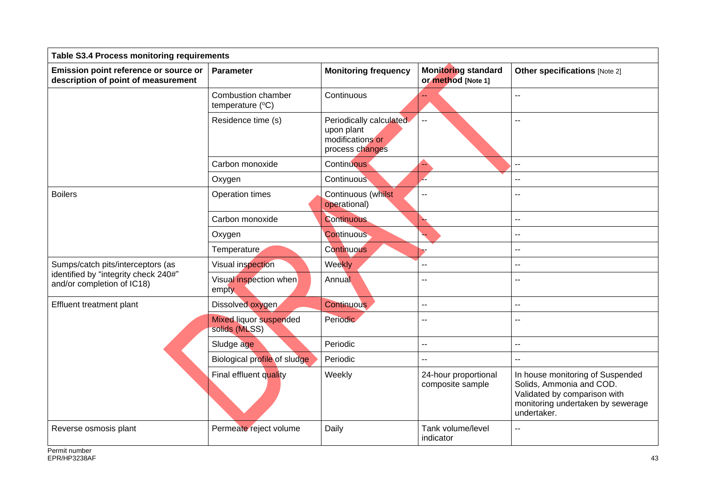| <b>Table S3.4 Process monitoring requirements</b>                            |                                                |                                                                              |                                                  |                                                                                                                                                  |
|------------------------------------------------------------------------------|------------------------------------------------|------------------------------------------------------------------------------|--------------------------------------------------|--------------------------------------------------------------------------------------------------------------------------------------------------|
| Emission point reference or source or<br>description of point of measurement | <b>Parameter</b>                               | <b>Monitoring frequency</b>                                                  | <b>Monitoring standard</b><br>or method [Note 1] | <b>Other specifications [Note 2]</b>                                                                                                             |
|                                                                              | Combustion chamber<br>temperature (°C)         | Continuous                                                                   |                                                  | $-$                                                                                                                                              |
|                                                                              | Residence time (s)                             | Periodically calculated<br>upon plant<br>modifications or<br>process changes | $\mathbb{L} \mathbb{L}$                          |                                                                                                                                                  |
|                                                                              | Carbon monoxide                                | <b>Continuous</b>                                                            | ß,                                               | $-$                                                                                                                                              |
|                                                                              | Oxygen                                         | Continuous                                                                   | Z                                                | --                                                                                                                                               |
| <b>Boilers</b>                                                               | Operation times                                | Continuous (whilst<br>operational)                                           | $\sim$                                           | --                                                                                                                                               |
|                                                                              | Carbon monoxide                                | <b>Continuous</b>                                                            |                                                  | --                                                                                                                                               |
|                                                                              | Oxygen                                         | <b>Continuous</b>                                                            | L,                                               | $-$                                                                                                                                              |
|                                                                              | Temperature                                    | Continuous                                                                   | F                                                | --                                                                                                                                               |
| Sumps/catch pits/interceptors (as                                            | Visual inspection                              | Weekly                                                                       | --                                               | --                                                                                                                                               |
| identified by "integrity check 240#"<br>and/or completion of IC18)           | Visual inspection when<br>empty                | Annual                                                                       | -−                                               | $-$                                                                                                                                              |
| Effluent treatment plant                                                     | Dissolved oxygen                               | <b>Continuous</b>                                                            | -−                                               | --                                                                                                                                               |
|                                                                              | <b>Mixed liquor suspended</b><br>solids (MLSS) | Periodic                                                                     | --                                               | --                                                                                                                                               |
|                                                                              | Sludge age                                     | Periodic                                                                     | Ц.                                               | $\overline{\phantom{a}}$                                                                                                                         |
|                                                                              | Biological profile of sludge                   | Periodic                                                                     | --                                               | --                                                                                                                                               |
|                                                                              | Final effluent quality                         | Weekly                                                                       | 24-hour proportional<br>composite sample         | In house monitoring of Suspended<br>Solids, Ammonia and COD.<br>Validated by comparison with<br>monitoring undertaken by sewerage<br>undertaker. |
| Reverse osmosis plant                                                        | Permeate reject volume                         | Daily                                                                        | Tank volume/level<br>indicator                   | $-$                                                                                                                                              |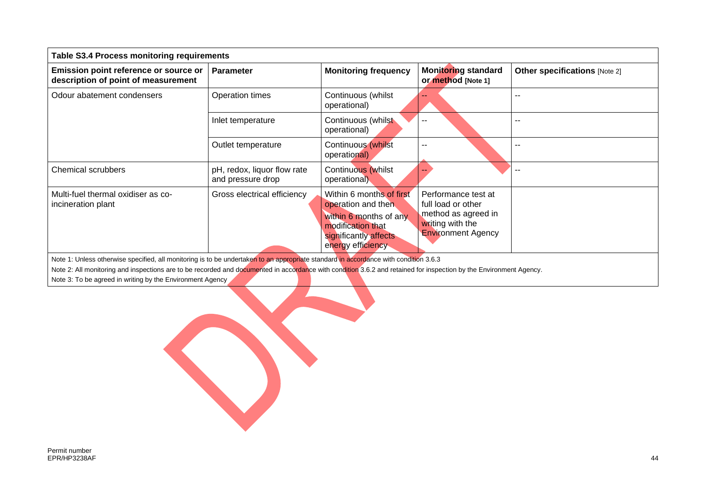| <b>Table S3.4 Process monitoring requirements</b>                            |                                                  |                                                                                                                                             |                                                                                                                   |                                      |
|------------------------------------------------------------------------------|--------------------------------------------------|---------------------------------------------------------------------------------------------------------------------------------------------|-------------------------------------------------------------------------------------------------------------------|--------------------------------------|
| Emission point reference or source or<br>description of point of measurement | <b>Parameter</b>                                 | <b>Monitoring frequency</b>                                                                                                                 | <b>Monitoring standard</b><br><b>or method [Note 1]</b>                                                           | <b>Other specifications [Note 2]</b> |
| Odour abatement condensers                                                   | Operation times                                  | Continuous (whilst<br>operational)                                                                                                          | --                                                                                                                |                                      |
|                                                                              | Inlet temperature                                | Continuous (whilst<br>operational)                                                                                                          |                                                                                                                   | --                                   |
|                                                                              | Outlet temperature                               | Continuous (whilst<br>operational)                                                                                                          |                                                                                                                   |                                      |
| <b>Chemical scrubbers</b>                                                    | pH, redox, liquor flow rate<br>and pressure drop | Continuous (whilst<br>operational)                                                                                                          |                                                                                                                   | $-$                                  |
| Multi-fuel thermal oxidiser as co-<br>incineration plant                     | Gross electrical efficiency                      | Within 6 months of first<br>operation and then<br>within 6 months of any<br>modification that<br>significantly affects<br>energy efficiency | Performance test at<br>full load or other<br>method as agreed in<br>writing with the<br><b>Environment Agency</b> |                                      |

Note 1: Unless otherwise specified, all monitoring is to be undertaken to an appropriate standard in accordance with condition 3.6.3

Note 2: All monitoring and inspections are to be recorded and documented in accordance with condition 3.6.2 and retained for inspection by the Environment Agency.

Note 3: To be agreed in writing by the Environment Agency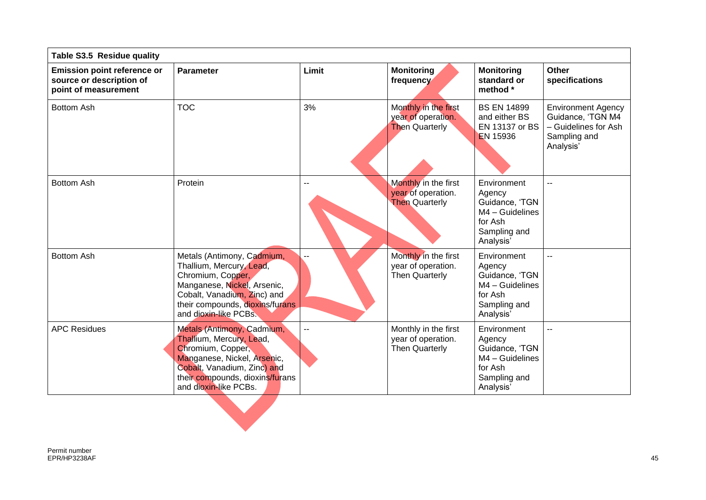| Table S3.5 Residue quality                                                             |                                                                                                                                                                                                       |                |                                                                     |                                                                                                    |                                                                                                     |
|----------------------------------------------------------------------------------------|-------------------------------------------------------------------------------------------------------------------------------------------------------------------------------------------------------|----------------|---------------------------------------------------------------------|----------------------------------------------------------------------------------------------------|-----------------------------------------------------------------------------------------------------|
| <b>Emission point reference or</b><br>source or description of<br>point of measurement | <b>Parameter</b>                                                                                                                                                                                      | Limit          | <b>Monitoring</b><br>frequency                                      | <b>Monitoring</b><br>standard or<br>method *                                                       | <b>Other</b><br>specifications                                                                      |
| <b>Bottom Ash</b>                                                                      | <b>TOC</b>                                                                                                                                                                                            | 3%             | Monthly in the first<br>year of operation.<br><b>Then Quarterly</b> | <b>BS EN 14899</b><br>and either BS<br>EN 13137 or BS<br><b>EN 15936</b>                           | <b>Environment Agency</b><br>Guidance, 'TGN M4<br>- Guidelines for Ash<br>Sampling and<br>Analysis' |
| <b>Bottom Ash</b>                                                                      | Protein                                                                                                                                                                                               | --             | Monthly in the first<br>year of operation.<br><b>Then Quarterly</b> | Environment<br>Agency<br>Guidance, 'TGN<br>M4 - Guidelines<br>for Ash<br>Sampling and<br>Analysis' | $\overline{a}$                                                                                      |
| <b>Bottom Ash</b>                                                                      | Metals (Antimony, Cadmium,<br>Thallium, Mercury, Lead,<br>Chromium, Copper,<br>Manganese, Nickel, Arsenic,<br>Cobalt, Vanadium, Zinc) and<br>their compounds, dioxins/furans<br>and dioxin-like PCBs. |                | Monthly in the first<br>year of operation.<br>Then Quarterly        | Environment<br>Agency<br>Guidance, 'TGN<br>M4 - Guidelines<br>for Ash<br>Sampling and<br>Analysis' |                                                                                                     |
| <b>APC Residues</b>                                                                    | Metals (Antimony, Cadmium,<br>Thallium, Mercury, Lead,<br>Chromium, Copper,<br>Manganese, Nickel, Arsenic,<br>Cobalt, Vanadium, Zinc) and<br>their compounds, dioxins/furans<br>and dioxin-like PCBs. | $\overline{a}$ | Monthly in the first<br>year of operation.<br><b>Then Quarterly</b> | Environment<br>Agency<br>Guidance, 'TGN<br>M4 - Guidelines<br>for Ash<br>Sampling and<br>Analysis' | $-$                                                                                                 |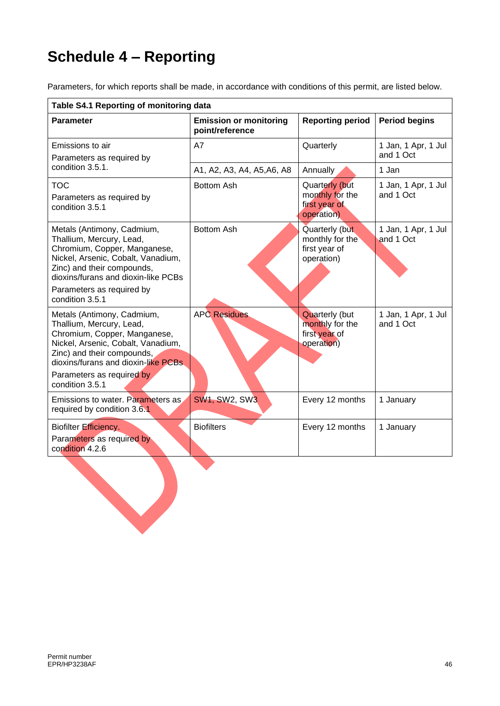# **Schedule 4 – Reporting**

Parameters, for which reports shall be made, in accordance with conditions of this permit, are listed below.

| Table S4.1 Reporting of monitoring data                                                                                                                                                                                                           |                                                  |                                                                         |                                  |
|---------------------------------------------------------------------------------------------------------------------------------------------------------------------------------------------------------------------------------------------------|--------------------------------------------------|-------------------------------------------------------------------------|----------------------------------|
| <b>Parameter</b>                                                                                                                                                                                                                                  | <b>Emission or monitoring</b><br>point/reference | <b>Reporting period</b>                                                 | <b>Period begins</b>             |
| Emissions to air<br>Parameters as required by                                                                                                                                                                                                     | A7                                               | Quarterly                                                               | 1 Jan, 1 Apr, 1 Jul<br>and 1 Oct |
| condition 3.5.1.                                                                                                                                                                                                                                  | A1, A2, A3, A4, A5, A6, A8                       | Annually                                                                | 1 Jan                            |
| <b>TOC</b><br>Parameters as required by<br>condition 3.5.1                                                                                                                                                                                        | <b>Bottom Ash</b>                                | Quarterly (but<br>monthly for the<br>first year of<br>operation)        | 1 Jan, 1 Apr, 1 Jul<br>and 1 Oct |
| Metals (Antimony, Cadmium,<br>Thallium, Mercury, Lead,<br>Chromium, Copper, Manganese,<br>Nickel, Arsenic, Cobalt, Vanadium,<br>Zinc) and their compounds,<br>dioxins/furans and dioxin-like PCBs<br>Parameters as required by<br>condition 3.5.1 | Bottom Ash                                       | Quarterly (but<br>monthly for the<br>first year of<br>operation)        | 1 Jan, 1 Apr, 1 Jul<br>and 1 Oct |
| Metals (Antimony, Cadmium,<br>Thallium, Mercury, Lead,<br>Chromium, Copper, Manganese,<br>Nickel, Arsenic, Cobalt, Vanadium,<br>Zinc) and their compounds,<br>dioxins/furans and dioxin-like PCBs<br>Parameters as required by<br>condition 3.5.1 | <b>APC Residues</b>                              | <b>Quarterly (but</b><br>monthly for the<br>first year of<br>operation) | 1 Jan, 1 Apr, 1 Jul<br>and 1 Oct |
| Emissions to water. Parameters as<br>required by condition 3.6.1                                                                                                                                                                                  | <b>SW1, SW2, SW3</b>                             | Every 12 months                                                         | 1 January                        |
| Biofilter Efficiency.<br>Parameters as required by<br>condition 4.2.6                                                                                                                                                                             | <b>Biofilters</b>                                | Every 12 months                                                         | 1 January                        |
|                                                                                                                                                                                                                                                   |                                                  |                                                                         |                                  |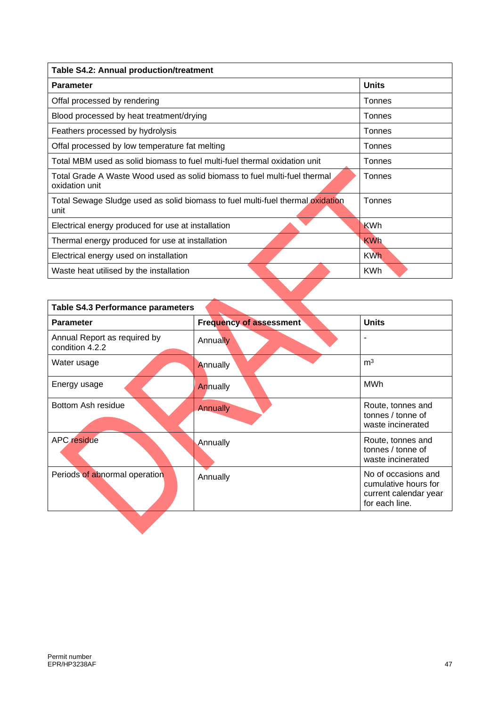| Table S4.2: Annual production/treatment                                                     |              |
|---------------------------------------------------------------------------------------------|--------------|
| <b>Parameter</b>                                                                            | <b>Units</b> |
| Offal processed by rendering                                                                | Tonnes       |
| Blood processed by heat treatment/drying                                                    | Tonnes       |
| Feathers processed by hydrolysis                                                            | Tonnes       |
| Offal processed by low temperature fat melting                                              | Tonnes       |
| Total MBM used as solid biomass to fuel multi-fuel thermal oxidation unit                   | Tonnes       |
| Total Grade A Waste Wood used as solid biomass to fuel multi-fuel thermal<br>oxidation unit | Tonnes       |
| Total Sewage Sludge used as solid biomass to fuel multi-fuel thermal oxidation<br>unit      | Tonnes       |
| Electrical energy produced for use at installation                                          | <b>KWh</b>   |
| Thermal energy produced for use at installation                                             | <b>KWh</b>   |
| Electrical energy used on installation                                                      | <b>KWh</b>   |
| Waste heat utilised by the installation                                                     | <b>KWh</b>   |
|                                                                                             |              |

| <b>Table S4.3 Performance parameters</b>        |                                |                                                                                        |  |
|-------------------------------------------------|--------------------------------|----------------------------------------------------------------------------------------|--|
| <b>Parameter</b>                                | <b>Frequency of assessment</b> | <b>Units</b>                                                                           |  |
| Annual Report as required by<br>condition 4.2.2 | Annually                       | ٠                                                                                      |  |
| Water usage                                     | Annually                       | m <sup>3</sup>                                                                         |  |
| Energy usage                                    | Annually                       | <b>MWh</b>                                                                             |  |
| Bottom Ash residue                              | <b>Annually</b>                | Route, tonnes and<br>tonnes / tonne of<br>waste incinerated                            |  |
| <b>APC</b> residue                              | Annually                       | Route, tonnes and<br>tonnes / tonne of<br>waste incinerated                            |  |
| Periods of abnormal operation                   | Annually                       | No of occasions and<br>cumulative hours for<br>current calendar year<br>for each line. |  |
|                                                 |                                |                                                                                        |  |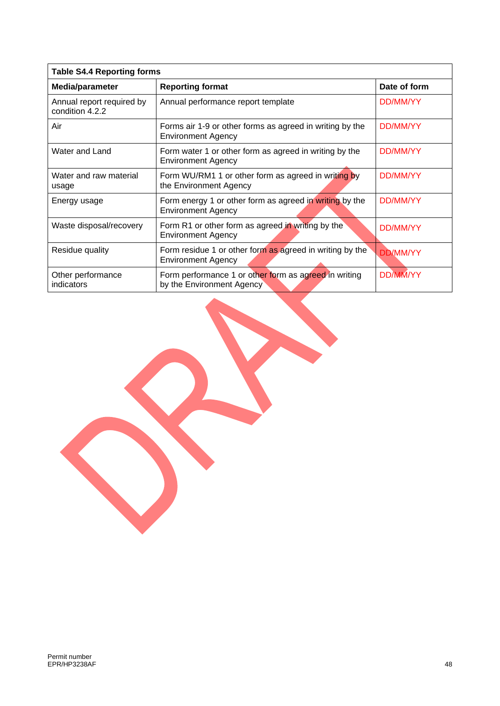| <b>Table S4.4 Reporting forms</b>            |                                                                                       |                 |  |
|----------------------------------------------|---------------------------------------------------------------------------------------|-----------------|--|
| Media/parameter                              | <b>Reporting format</b>                                                               | Date of form    |  |
| Annual report required by<br>condition 4.2.2 | Annual performance report template                                                    | DD/MM/YY        |  |
| Air                                          | Forms air 1-9 or other forms as agreed in writing by the<br><b>Environment Agency</b> | DD/MM/YY        |  |
| Water and Land                               | Form water 1 or other form as agreed in writing by the<br><b>Environment Agency</b>   | DD/MM/YY        |  |
| Water and raw material<br>usage              | Form WU/RM1 1 or other form as agreed in writing by<br>the Environment Agency         | DD/MM/YY        |  |
| Energy usage                                 | Form energy 1 or other form as agreed in writing by the<br><b>Environment Agency</b>  | DD/MM/YY        |  |
| Waste disposal/recovery                      | Form R1 or other form as agreed in writing by the<br><b>Environment Agency</b>        | DD/MM/YY        |  |
| Residue quality                              | Form residue 1 or other form as agreed in writing by the<br><b>Environment Agency</b> | <b>DD/MM/YY</b> |  |
| Other performance<br>indicators              | Form performance 1 or other form as agreed in writing<br>by the Environment Agency    | <b>DD/MM/YY</b> |  |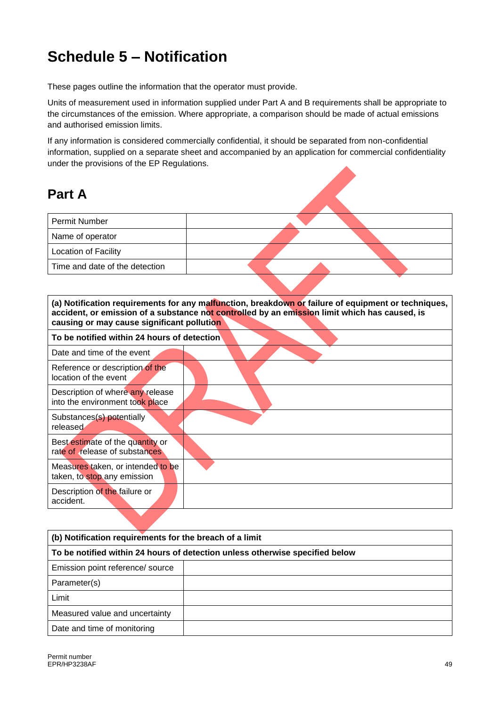# **Schedule 5 – Notification**

These pages outline the information that the operator must provide.

Units of measurement used in information supplied under Part A and B requirements shall be appropriate to the circumstances of the emission. Where appropriate, a comparison should be made of actual emissions and authorised emission limits.

If any information is considered commercially confidential, it should be separated from non-confidential information, supplied on a separate sheet and accompanied by an application for commercial confidentiality under the provisions of the EP Regulations.

### **Part A**

| <b>Permit Number</b>           |  |  |
|--------------------------------|--|--|
| Name of operator               |  |  |
| <b>Location of Facility</b>    |  |  |
| Time and date of the detection |  |  |

**(a) Notification requirements for any malfunction, breakdown or failure of equipment or techniques, accident, or emission of a substance not controlled by an emission limit which has caused, is causing or may cause significant pollution**

| To be notified within 24 hours of detection                         |  |
|---------------------------------------------------------------------|--|
| Date and time of the event                                          |  |
| Reference or description of the<br>location of the event            |  |
| Description of where any release<br>into the environment took place |  |
| Substances(s) potentially<br>released                               |  |
| Best estimate of the quantity or<br>rate of release of substances   |  |
| Measures taken, or intended to be<br>taken, to stop any emission    |  |
| Description of the failure or<br>accident.                          |  |

| (b) Notification requirements for the breach of a limit                      |  |  |
|------------------------------------------------------------------------------|--|--|
| To be notified within 24 hours of detection unless otherwise specified below |  |  |
| Emission point reference/ source                                             |  |  |
| Parameter(s)                                                                 |  |  |
| Limit                                                                        |  |  |
| Measured value and uncertainty                                               |  |  |
| Date and time of monitoring                                                  |  |  |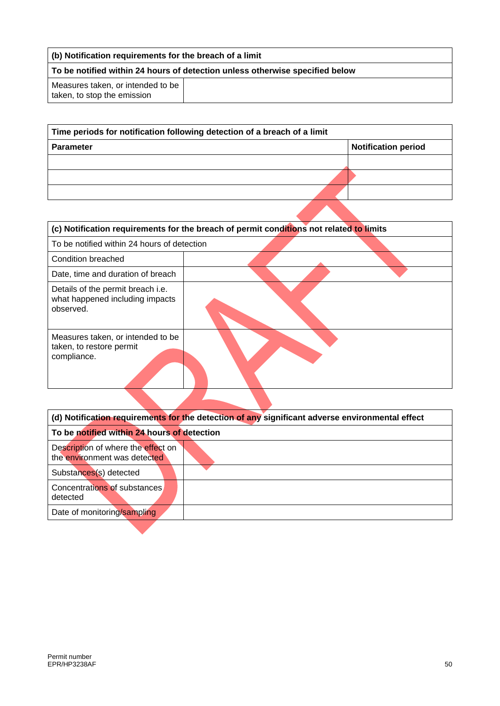| (b) Notification requirements for the breach of a limit                      |  |  |
|------------------------------------------------------------------------------|--|--|
| To be notified within 24 hours of detection unless otherwise specified below |  |  |
| Measures taken, or intended to be<br>taken, to stop the emission             |  |  |

| Time periods for notification following detection of a breach of a limit |                            |  |
|--------------------------------------------------------------------------|----------------------------|--|
| <b>Parameter</b>                                                         | <b>Notification period</b> |  |
|                                                                          |                            |  |
|                                                                          |                            |  |
|                                                                          |                            |  |
|                                                                          |                            |  |

| (c) Notification requirements for the breach of permit conditions not related to limits |  |  |
|-----------------------------------------------------------------------------------------|--|--|
| To be notified within 24 hours of detection                                             |  |  |
| Condition breached                                                                      |  |  |
| Date, time and duration of breach                                                       |  |  |
| Details of the permit breach i.e.<br>what happened including impacts<br>observed.       |  |  |
| Measures taken, or intended to be<br>taken, to restore permit<br>compliance.            |  |  |

| (d) Notification requirements for the detection of any significant adverse environmental effect |  |
|-------------------------------------------------------------------------------------------------|--|
| To be notified within 24 hours of detection                                                     |  |
| Description of where the effect on<br>the environment was detected                              |  |
| Substances(s) detected                                                                          |  |
| Concentrations of substances<br>detected                                                        |  |
| Date of monitoring/sampling                                                                     |  |

e.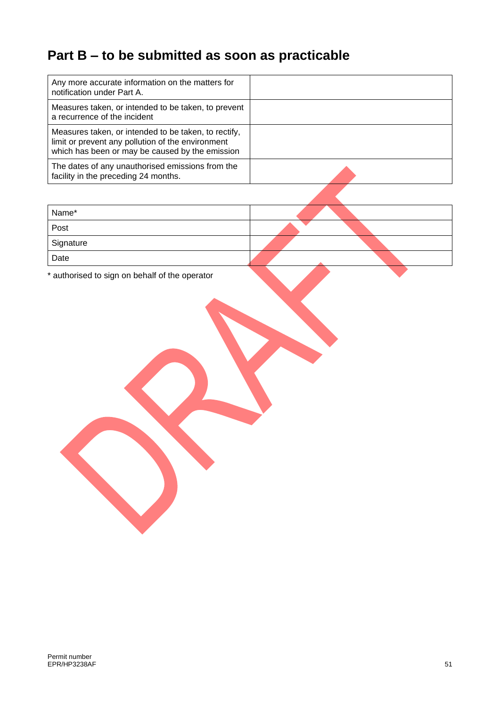## **Part B – to be submitted as soon as practicable**

| Any more accurate information on the matters for<br>notification under Part A.                                                                               |  |
|--------------------------------------------------------------------------------------------------------------------------------------------------------------|--|
| Measures taken, or intended to be taken, to prevent<br>a recurrence of the incident                                                                          |  |
| Measures taken, or intended to be taken, to rectify,<br>limit or prevent any pollution of the environment<br>which has been or may be caused by the emission |  |
| The dates of any unauthorised emissions from the<br>facility in the preceding 24 months.                                                                     |  |
|                                                                                                                                                              |  |
| Name*                                                                                                                                                        |  |
| Post                                                                                                                                                         |  |
| Signature                                                                                                                                                    |  |
| Date                                                                                                                                                         |  |

\* authorised to sign on behalf of the operator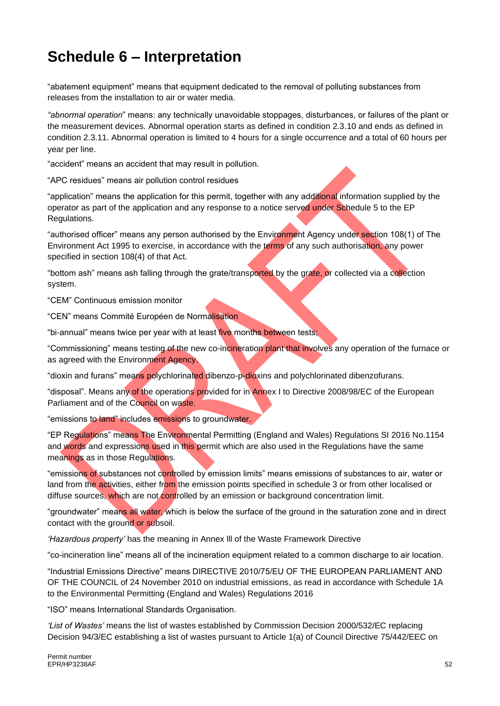## **Schedule 6 – Interpretation**

"abatement equipment" means that equipment dedicated to the removal of polluting substances from releases from the installation to air or water media.

*"abnormal operation*" means: any technically unavoidable stoppages, disturbances, or failures of the plant or the measurement devices. Abnormal operation starts as defined in condition 2.3.10 and ends as defined in condition 2.3.11. Abnormal operation is limited to 4 hours for a single occurrence and a total of 60 hours per year per line.

"accident" means an accident that may result in pollution.

"APC residues" means air pollution control residues

"application" means the application for this permit, together with any additional information supplied by the operator as part of the application and any response to a notice served under Schedule 5 to the EP Regulations.

"authorised officer" means any person authorised by the Environment Agency under section 108(1) of The Environment Act 1995 to exercise, in accordance with the terms of any such authorisation, any power specified in section 108(4) of that Act.

"bottom ash" means ash falling through the grate/transported by the grate, or collected via a collection system.

"CEM" Continuous emission monitor

"CEN" means Commité Européen de Normalisation

"bi-annual" means twice per year with at least five months between tests;

"Commissioning" means testing of the new co-incineration plant that involves any operation of the furnace or as agreed with the Environment Agency.

"dioxin and furans" means polychlorinated dibenzo-p-dioxins and polychlorinated dibenzofurans.

"disposal". Means any of the operations provided for in Annex I to Directive 2008/98/EC of the European Parliament and of the Council on waste.

"emissions to land" includes emissions to groundwater.

"EP Regulations" means The Environmental Permitting (England and Wales) Regulations SI 2016 No.1154 and words and expressions used in this permit which are also used in the Regulations have the same meanings as in those Regulations.

"emissions of substances not controlled by emission limits" means emissions of substances to air, water or land from the activities, either from the emission points specified in schedule 3 or from other localised or diffuse sources, which are not controlled by an emission or background concentration limit.

"groundwater" means all water, which is below the surface of the ground in the saturation zone and in direct contact with the ground or subsoil.

*'Hazardous property'* has the meaning in Annex lll of the Waste Framework Directive

"co-incineration line" means all of the incineration equipment related to a common discharge to air location.

"Industrial Emissions Directive" means DIRECTIVE 2010/75/EU OF THE EUROPEAN PARLIAMENT AND OF THE COUNCIL of 24 November 2010 on industrial emissions, as read in accordance with Schedule 1A to the Environmental Permitting (England and Wales) Regulations 2016

"ISO" means International Standards Organisation.

*'List of Wastes'* means the list of wastes established by Commission Decision [2000/532/EC](http://www.legislation.gov.uk/european/decision/2000/0532) replacing Decision [94/3/EC](http://www.legislation.gov.uk/european/decision/1994/0003) establishing a list of wastes pursuant to Article 1(a) of Council Directive [75/442/EEC](http://www.legislation.gov.uk/european/directive/1975/0442) on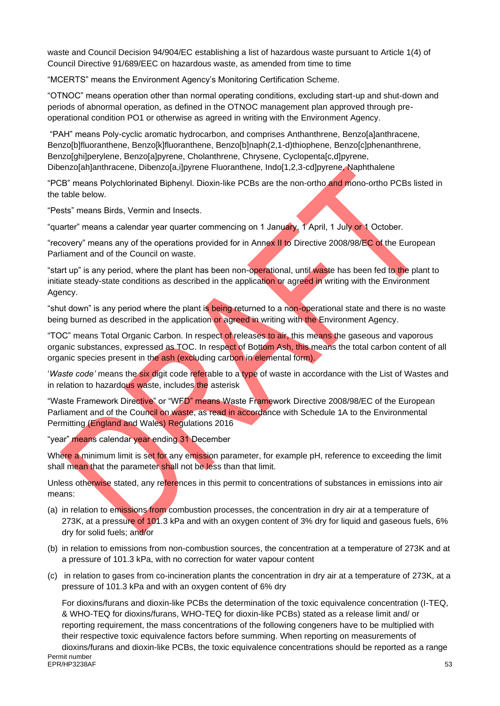waste and Council Decision [94/904/EC](http://www.legislation.gov.uk/european/decision/1994/0904) establishing a list of hazardous waste pursuant to Article 1(4) of Council Directive [91/689/EEC](http://www.legislation.gov.uk/european/decision/1991/0689) on hazardous waste, as amended from time to time

"MCERTS" means the Environment Agency's Monitoring Certification Scheme.

"OTNOC" means operation other than normal operating conditions, excluding start-up and shut-down and periods of abnormal operation, as defined in the OTNOC management plan approved through preoperational condition PO1 or otherwise as agreed in writing with the Environment Agency.

"PAH" means Poly-cyclic aromatic hydrocarbon, and comprises Anthanthrene, Benzo[a]anthracene, Benzo[b]fluoranthene, Benzo[k]fluoranthene, Benzo[b]naph(2,1-d)thiophene, Benzo[c]phenanthrene, Benzo[ghi]perylene, Benzo[a]pyrene, Cholanthrene, Chrysene, Cyclopenta[c,d]pyrene, Dibenzo[ah]anthracene, Dibenzo[a,i]pyrene Fluoranthene, Indo[1,2,3-cd]pyrene, Naphthalene

"PCB" means Polychlorinated Biphenyl. Dioxin-like PCBs are the non-ortho and mono-ortho PCBs listed in the table below.

"Pests" means Birds, Vermin and Insects.

"quarter" means a calendar year quarter commencing on 1 January, 1 April, 1 July or 1 October.

"recovery" means any of the operations provided for in Annex II to Directive 2008/98/EC of the European Parliament and of the Council on waste.

"start up" is any period, where the plant has been non-operational, until waste has been fed to the plant to initiate steady-state conditions as described in the application or agreed in writing with the Environment Agency.

"shut down" is any period where the plant is being returned to a non-operational state and there is no waste being burned as described in the application or agreed in writing with the Environment Agency.

"TOC" means Total Organic Carbon. In respect of releases to air, this means the gaseous and vaporous organic substances, expressed as TOC. In respect of Bottom Ash, this means the total carbon content of all organic species present in the ash (excluding carbon in elemental form).

'*Waste code'* means the six digit code referable to a type of waste in accordance with the List of Wastes and in relation to hazardous waste, includes the asterisk

"Waste Framework Directive" or "WFD" means Waste Framework Directive 2008/98/EC of the European Parliament and of the Council on waste, as read in accordance with Schedule 1A to the Environmental Permitting (England and Wales) Regulations 2016

"year" means calendar year ending 31 December

Where a minimum limit is set for any emission parameter, for example pH, reference to exceeding the limit shall mean that the parameter shall not be less than that limit.

Unless otherwise stated, any references in this permit to concentrations of substances in emissions into air means:

- (a) in relation to emissions from combustion processes, the concentration in dry air at a temperature of 273K, at a pressure of 101.3 kPa and with an oxygen content of 3% dry for liquid and gaseous fuels, 6% dry for solid fuels; and/or
- (b) in relation to emissions from non-combustion sources, the concentration at a temperature of 273K and at a pressure of 101.3 kPa, with no correction for water vapour content
- (c) in relation to gases from co-incineration plants the concentration in dry air at a temperature of 273K, at a pressure of 101.3 kPa and with an oxygen content of 6% dry

For dioxins/furans and dioxin-like PCBs the determination of the toxic equivalence concentration (I-TEQ, & WHO-TEQ for dioxins/furans, WHO-TEQ for dioxin-like PCBs) stated as a release limit and/ or reporting requirement, the mass concentrations of the following congeners have to be multiplied with their respective toxic equivalence factors before summing. When reporting on measurements of dioxins/furans and dioxin-like PCBs, the toxic equivalence concentrations should be reported as a range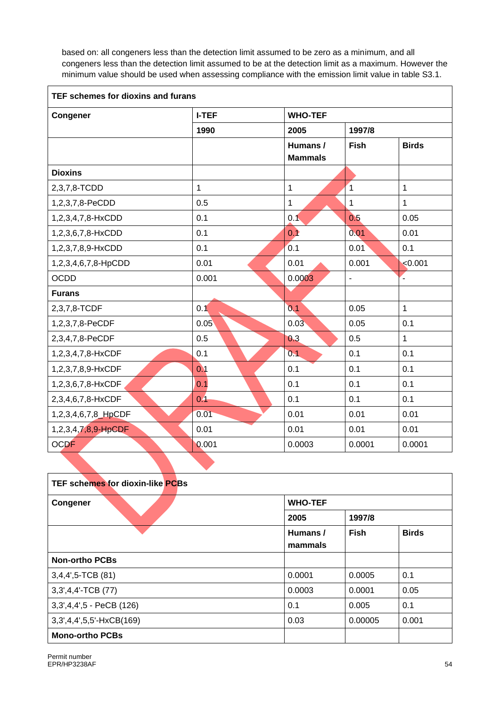based on: all congeners less than the detection limit assumed to be zero as a minimum, and all congeners less than the detection limit assumed to be at the detection limit as a maximum. However the minimum value should be used when assessing compliance with the emission limit value in table S3.1.

| TEF schemes for dioxins and furans |              |                |                |              |  |
|------------------------------------|--------------|----------------|----------------|--------------|--|
| Congener                           | <b>I-TEF</b> | <b>WHO-TEF</b> |                |              |  |
|                                    | 1990         | 2005           | 1997/8         |              |  |
|                                    |              | Humans /       | <b>Fish</b>    | <b>Birds</b> |  |
|                                    |              | <b>Mammals</b> |                |              |  |
| <b>Dioxins</b>                     |              |                |                |              |  |
| 2,3,7,8-TCDD                       | $\mathbf{1}$ | 1              | $\overline{1}$ | $\mathbf{1}$ |  |
| 1,2,3,7,8-PeCDD                    | 0.5          | $\mathbf{1}$   | 1              | $\mathbf{1}$ |  |
| 1,2,3,4,7,8-HxCDD                  | 0.1          | 0.1            | 0.5            | 0.05         |  |
| 1,2,3,6,7,8-HxCDD                  | 0.1          | 0.1            | 0.01           | 0.01         |  |
| 1,2,3,7,8,9-HxCDD                  | 0.1          | 0.1            | 0.01           | 0.1          |  |
| 1,2,3,4,6,7,8-HpCDD                | 0.01         | 0.01           | 0.001          | < 0.001      |  |
| <b>OCDD</b>                        | 0.001        | 0.0003         |                | Ľ,           |  |
| <b>Furans</b>                      |              |                |                |              |  |
| 2,3,7,8-TCDF                       | 0.1          | 0.1            | 0.05           | $\mathbf{1}$ |  |
| 1,2,3,7,8-PeCDF                    | 0.05         | 0.03           | 0.05           | 0.1          |  |
| 2,3,4,7,8-PeCDF                    | 0.5          | 0.3            | 0.5            | $\mathbf{1}$ |  |
| 1,2,3,4,7,8-HxCDF                  | 0.1          | 0.1            | 0.1            | 0.1          |  |
| 1,2,3,7,8,9-HxCDF                  | 0.1          | 0.1            | 0.1            | 0.1          |  |
| 1,2,3,6,7,8-HxCDF                  | 0.1          | 0.1            | 0.1            | 0.1          |  |
| 2,3,4,6,7,8-HxCDF                  | 0.4          | 0.1            | 0.1            | 0.1          |  |
| 1,2,3,4,6,7,8_HpCDF                | 0.01         | 0.01           | 0.01           | 0.01         |  |
| 1,2,3,4,7,8,9-HpCDF                | 0.01         | 0.01           | 0.01           | 0.01         |  |
| <b>OCDF</b>                        | 0.001        | 0.0003         | 0.0001         | 0.0001       |  |

| <b>TEF schemes for dioxin-like PCBs</b> |                    |             |              |
|-----------------------------------------|--------------------|-------------|--------------|
| Congener                                | <b>WHO-TEF</b>     |             |              |
|                                         | 2005               | 1997/8      |              |
|                                         | Humans/<br>mammals | <b>Fish</b> | <b>Birds</b> |
| <b>Non-ortho PCBs</b>                   |                    |             |              |
| $3,4,4',5$ -TCB $(81)$                  | 0.0001             | 0.0005      | 0.1          |
| 3,3',4,4'-TCB (77)                      | 0.0003             | 0.0001      | 0.05         |
| 3, 3, 4, 4', 5 - PeCB (126)             | 0.1                | 0.005       | 0.1          |
| 3, 3, 4, 4, 5, 5' - HxCB(169)           | 0.03               | 0.00005     | 0.001        |
| <b>Mono-ortho PCBs</b>                  |                    |             |              |

e.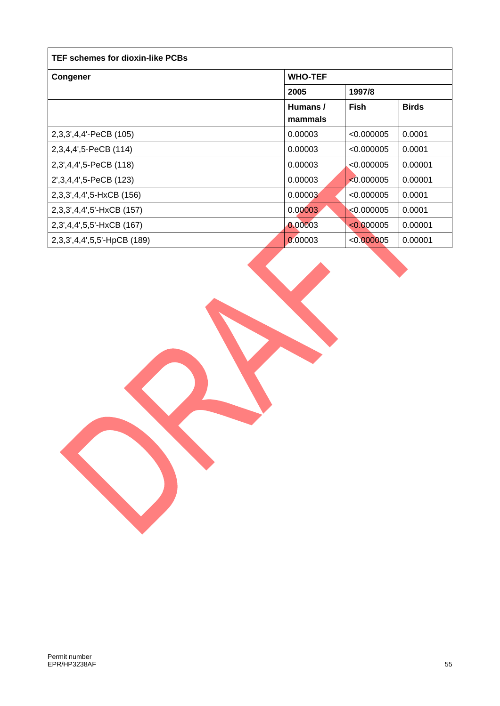| <b>TEF schemes for dioxin-like PCBs</b> |                |            |              |
|-----------------------------------------|----------------|------------|--------------|
| Congener                                | <b>WHO-TEF</b> |            |              |
|                                         | 2005           | 1997/8     |              |
|                                         | Humans /       | Fish       | <b>Birds</b> |
|                                         | mammals        |            |              |
| 2,3,3',4,4'-PeCB (105)                  | 0.00003        | < 0.000005 | 0.0001       |
| 2,3,4,4',5-PeCB (114)                   | 0.00003        | < 0.000005 | 0.0001       |
| 2,3',4,4',5-PeCB (118)                  | 0.00003        | < 0.000005 | 0.00001      |
| 2', 3, 4, 4', 5-PeCB (123)              | 0.00003        | < 0.000005 | 0.00001      |
| 2,3,3',4,4',5-HxCB (156)                | 0.00003        | < 0.000005 | 0.0001       |
| 2,3,3',4,4',5'-HxCB (157)               | 0.00003        | < 0.000005 | 0.0001       |
| 2,3',4,4',5,5'-HxCB (167)               | 0.00003        | < 0.000005 | 0.00001      |
| 2,3,3',4,4',5,5'-HpCB (189)             | 0.00003        | < 0.000005 | 0.00001      |